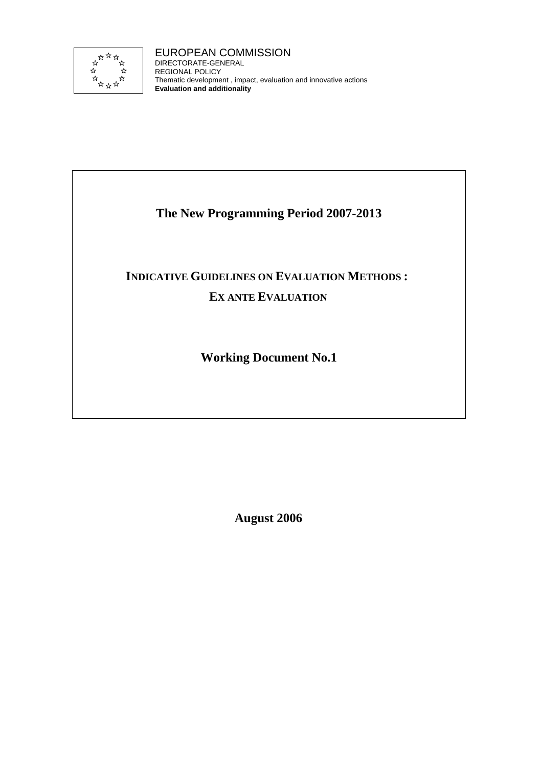

EUROPEAN COMMISSION DIRECTORATE-GENERAL REGIONAL POLICY Thematic development , impact, evaluation and innovative actions **Evaluation and additionality**

# **The New Programming Period 2007-2013**

# **INDICATIVE GUIDELINES ON EVALUATION METHODS : EX ANTE EVALUATION**

**Working Document No.1** 

**August 2006**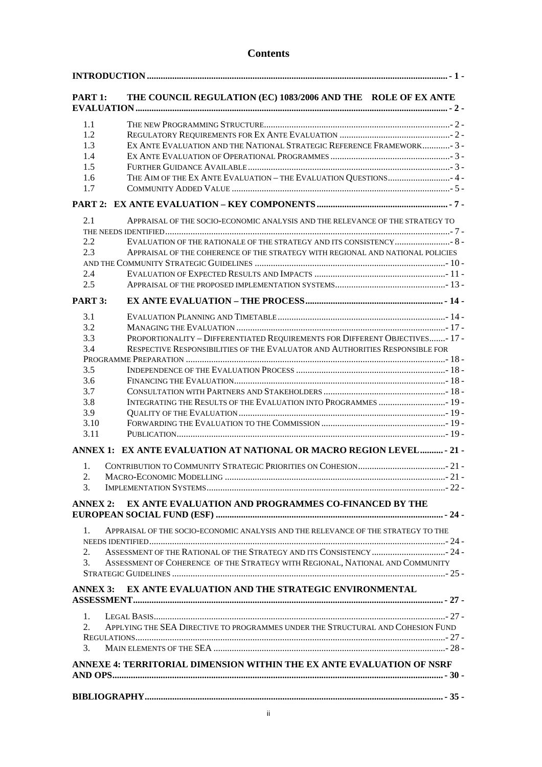### **Contents**

| PART 1:         | THE COUNCIL REGULATION (EC) 1083/2006 AND THE ROLE OF EX ANTE                     |
|-----------------|-----------------------------------------------------------------------------------|
| 1.1             |                                                                                   |
| 1.2             |                                                                                   |
| 1.3             | EX ANTE EVALUATION AND THE NATIONAL STRATEGIC REFERENCE FRAMEWORK-3-              |
| 1.4             |                                                                                   |
| 1.5             |                                                                                   |
| 1.6             | THE AIM OF THE EX ANTE EVALUATION - THE EVALUATION QUESTIONS 4 -                  |
| 1.7             |                                                                                   |
|                 |                                                                                   |
| 2.1             | APPRAISAL OF THE SOCIO-ECONOMIC ANALYSIS AND THE RELEVANCE OF THE STRATEGY TO     |
| 2.2             |                                                                                   |
| 2.3             | APPRAISAL OF THE COHERENCE OF THE STRATEGY WITH REGIONAL AND NATIONAL POLICIES    |
|                 |                                                                                   |
| 2.4             |                                                                                   |
| 2.5             |                                                                                   |
| PART 3:         |                                                                                   |
| 3.1             |                                                                                   |
| 3.2             |                                                                                   |
| 3.3             | PROPORTIONALITY - DIFFERENTIATED REQUIREMENTS FOR DIFFERENT OBJECTIVES- 17 -      |
| 3.4             | RESPECTIVE RESPONSIBILITIES OF THE EVALUATOR AND AUTHORITIES RESPONSIBLE FOR      |
|                 |                                                                                   |
| 3.5             |                                                                                   |
| 3.6             |                                                                                   |
| 3.7             |                                                                                   |
| 3.8             | INTEGRATING THE RESULTS OF THE EVALUATION INTO PROGRAMMES  19 -                   |
| 3.9             |                                                                                   |
| 3.10            |                                                                                   |
| 3.11            |                                                                                   |
|                 | ANNEX 1: EX ANTE EVALUATION AT NATIONAL OR MACRO REGION LEVEL - 21 -              |
| 1.              |                                                                                   |
| 2.              |                                                                                   |
| 3.              |                                                                                   |
| <b>ANNEX 2:</b> | EX ANTE EVALUATION AND PROGRAMMES CO-FINANCED BY THE                              |
|                 |                                                                                   |
| 1.              | APPRAISAL OF THE SOCIO-ECONOMIC ANALYSIS AND THE RELEVANCE OF THE STRATEGY TO THE |
| 2.              |                                                                                   |
| 3.              | ASSESSMENT OF COHERENCE OF THE STRATEGY WITH REGIONAL, NATIONAL AND COMMUNITY     |
|                 |                                                                                   |
| <b>ANNEX 3:</b> | EX ANTE EVALUATION AND THE STRATEGIC ENVIRONMENTAL                                |
|                 |                                                                                   |
| 1.              |                                                                                   |
| 2.              | APPLYING THE SEA DIRECTIVE TO PROGRAMMES UNDER THE STRUCTURAL AND COHESION FUND   |
|                 |                                                                                   |
| 3.              |                                                                                   |
|                 | ANNEXE 4: TERRITORIAL DIMENSION WITHIN THE EX ANTE EVALUATION OF NSRF             |
|                 |                                                                                   |
|                 |                                                                                   |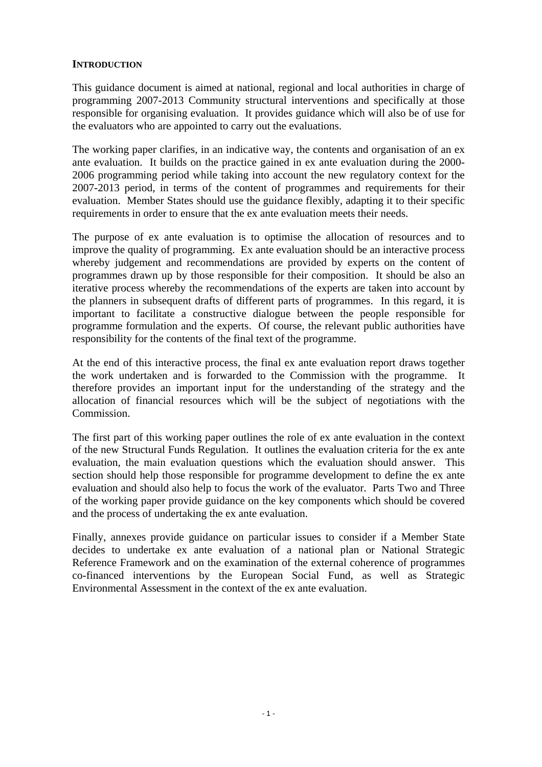### <span id="page-2-0"></span>**INTRODUCTION**

This guidance document is aimed at national, regional and local authorities in charge of programming 2007-2013 Community structural interventions and specifically at those responsible for organising evaluation. It provides guidance which will also be of use for the evaluators who are appointed to carry out the evaluations.

The working paper clarifies, in an indicative way, the contents and organisation of an ex ante evaluation. It builds on the practice gained in ex ante evaluation during the 2000- 2006 programming period while taking into account the new regulatory context for the 2007-2013 period, in terms of the content of programmes and requirements for their evaluation. Member States should use the guidance flexibly, adapting it to their specific requirements in order to ensure that the ex ante evaluation meets their needs.

The purpose of ex ante evaluation is to optimise the allocation of resources and to improve the quality of programming. Ex ante evaluation should be an interactive process whereby judgement and recommendations are provided by experts on the content of programmes drawn up by those responsible for their composition. It should be also an iterative process whereby the recommendations of the experts are taken into account by the planners in subsequent drafts of different parts of programmes. In this regard, it is important to facilitate a constructive dialogue between the people responsible for programme formulation and the experts. Of course, the relevant public authorities have responsibility for the contents of the final text of the programme.

At the end of this interactive process, the final ex ante evaluation report draws together the work undertaken and is forwarded to the Commission with the programme. It therefore provides an important input for the understanding of the strategy and the allocation of financial resources which will be the subject of negotiations with the Commission.

The first part of this working paper outlines the role of ex ante evaluation in the context of the new Structural Funds Regulation. It outlines the evaluation criteria for the ex ante evaluation, the main evaluation questions which the evaluation should answer. This section should help those responsible for programme development to define the ex ante evaluation and should also help to focus the work of the evaluator. Parts Two and Three of the working paper provide guidance on the key components which should be covered and the process of undertaking the ex ante evaluation.

Finally, annexes provide guidance on particular issues to consider if a Member State decides to undertake ex ante evaluation of a national plan or National Strategic Reference Framework and on the examination of the external coherence of programmes co-financed interventions by the European Social Fund, as well as Strategic Environmental Assessment in the context of the ex ante evaluation.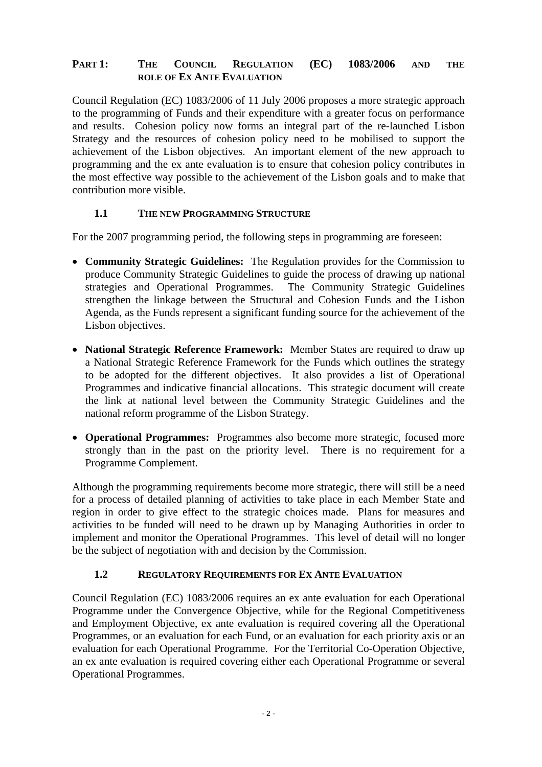### <span id="page-3-0"></span>**PART 1: THE COUNCIL REGULATION (EC) 1083/2006 AND THE ROLE OF EX ANTE EVALUATION**

Council Regulation (EC) 1083/2006 of 11 July 2006 proposes a more strategic approach to the programming of Funds and their expenditure with a greater focus on performance and results. Cohesion policy now forms an integral part of the re-launched Lisbon Strategy and the resources of cohesion policy need to be mobilised to support the achievement of the Lisbon objectives. An important element of the new approach to programming and the ex ante evaluation is to ensure that cohesion policy contributes in the most effective way possible to the achievement of the Lisbon goals and to make that contribution more visible.

### **1.1 THE NEW PROGRAMMING STRUCTURE**

<span id="page-3-1"></span>For the 2007 programming period, the following steps in programming are foreseen:

- **Community Strategic Guidelines:** The Regulation provides for the Commission to produce Community Strategic Guidelines to guide the process of drawing up national strategies and Operational Programmes. The Community Strategic Guidelines strengthen the linkage between the Structural and Cohesion Funds and the Lisbon Agenda, as the Funds represent a significant funding source for the achievement of the Lisbon objectives.
- **National Strategic Reference Framework:** Member States are required to draw up a National Strategic Reference Framework for the Funds which outlines the strategy to be adopted for the different objectives. It also provides a list of Operational Programmes and indicative financial allocations. This strategic document will create the link at national level between the Community Strategic Guidelines and the national reform programme of the Lisbon Strategy.
- **Operational Programmes:** Programmes also become more strategic, focused more strongly than in the past on the priority level. There is no requirement for a Programme Complement.

Although the programming requirements become more strategic, there will still be a need for a process of detailed planning of activities to take place in each Member State and region in order to give effect to the strategic choices made. Plans for measures and activities to be funded will need to be drawn up by Managing Authorities in order to implement and monitor the Operational Programmes. This level of detail will no longer be the subject of negotiation with and decision by the Commission.

### **1.2 REGULATORY REQUIREMENTS FOR EX ANTE EVALUATION**

<span id="page-3-2"></span>Council Regulation (EC) 1083/2006 requires an ex ante evaluation for each Operational Programme under the Convergence Objective, while for the Regional Competitiveness and Employment Objective, ex ante evaluation is required covering all the Operational Programmes, or an evaluation for each Fund, or an evaluation for each priority axis or an evaluation for each Operational Programme. For the Territorial Co-Operation Objective, an ex ante evaluation is required covering either each Operational Programme or several Operational Programmes.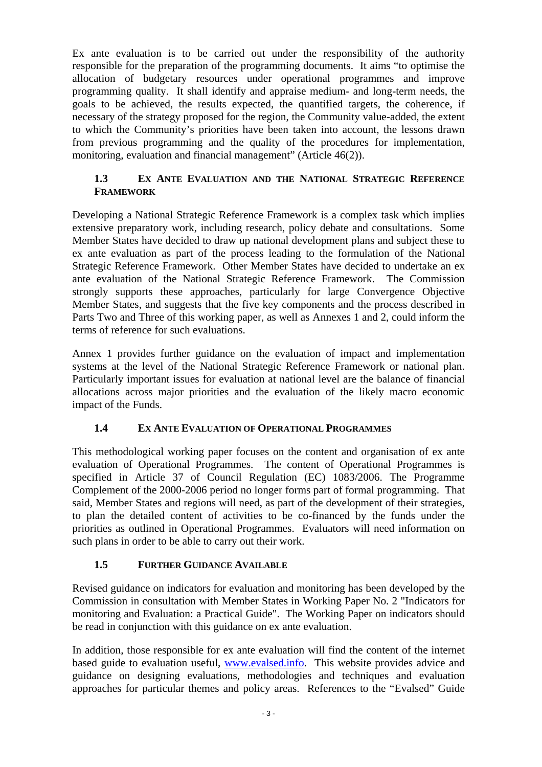Ex ante evaluation is to be carried out under the responsibility of the authority responsible for the preparation of the programming documents. It aims "to optimise the allocation of budgetary resources under operational programmes and improve programming quality. It shall identify and appraise medium- and long-term needs, the goals to be achieved, the results expected, the quantified targets, the coherence, if necessary of the strategy proposed for the region, the Community value-added, the extent to which the Community's priorities have been taken into account, the lessons drawn from previous programming and the quality of the procedures for implementation, monitoring, evaluation and financial management" (Article 46(2)).

# **1.3 EX ANTE EVALUATION AND THE NATIONAL STRATEGIC REFERENCE FRAMEWORK**

<span id="page-4-0"></span>Developing a National Strategic Reference Framework is a complex task which implies extensive preparatory work, including research, policy debate and consultations. Some Member States have decided to draw up national development plans and subject these to ex ante evaluation as part of the process leading to the formulation of the National Strategic Reference Framework. Other Member States have decided to undertake an ex ante evaluation of the National Strategic Reference Framework. The Commission strongly supports these approaches, particularly for large Convergence Objective Member States, and suggests that the five key components and the process described in Parts Two and Three of this working paper, as well as Annexes 1 and 2, could inform the terms of reference for such evaluations.

Annex 1 provides further guidance on the evaluation of impact and implementation systems at the level of the National Strategic Reference Framework or national plan. Particularly important issues for evaluation at national level are the balance of financial allocations across major priorities and the evaluation of the likely macro economic impact of the Funds.

# **1.4 EX ANTE EVALUATION OF OPERATIONAL PROGRAMMES**

<span id="page-4-1"></span>This methodological working paper focuses on the content and organisation of ex ante evaluation of Operational Programmes. The content of Operational Programmes is specified in Article 37 of Council Regulation (EC) 1083/2006. The Programme Complement of the 2000-2006 period no longer forms part of formal programming. That said, Member States and regions will need, as part of the development of their strategies, to plan the detailed content of activities to be co-financed by the funds under the priorities as outlined in Operational Programmes. Evaluators will need information on such plans in order to be able to carry out their work.

# **1.5 FURTHER GUIDANCE AVAILABLE**

<span id="page-4-2"></span>Revised guidance on indicators for evaluation and monitoring has been developed by the Commission in consultation with Member States in Working Paper No. 2 "Indicators for monitoring and Evaluation: a Practical Guide". The Working Paper on indicators should be read in conjunction with this guidance on ex ante evaluation.

In addition, those responsible for ex ante evaluation will find the content of the internet based guide to evaluation useful, [www.evalsed.info.](http://www.evalsed.info/) This website provides advice and guidance on designing evaluations, methodologies and techniques and evaluation approaches for particular themes and policy areas. References to the "Evalsed" Guide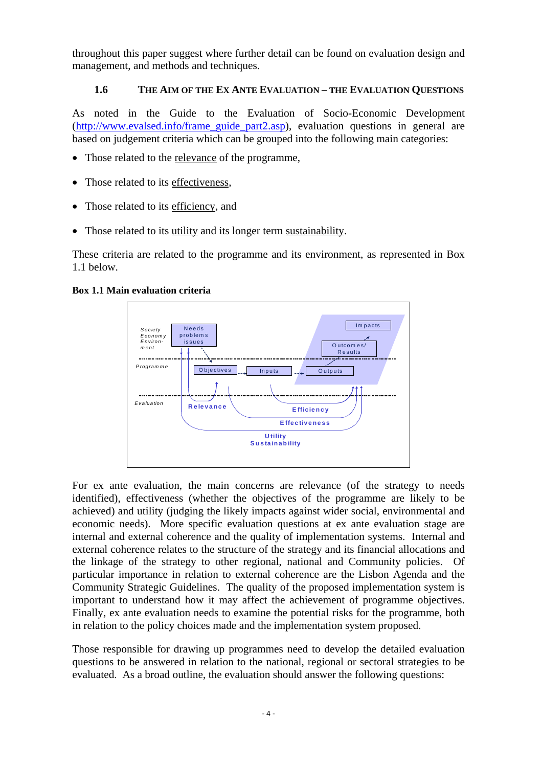<span id="page-5-0"></span>throughout this paper suggest where further detail can be found on evaluation design and management, and methods and techniques.

# **1.6 THE AIM OF THE EX ANTE EVALUATION – THE EVALUATION QUESTIONS**

As noted in the Guide to the Evaluation of Socio-Economic Development [\(http://www.evalsed.info/frame\\_guide\\_part2.asp\)](http://www.evalsed.info/frame_guide_part2.asp), evaluation questions in general are based on judgement criteria which can be grouped into the following main categories:

- Those related to the relevance of the programme,
- Those related to its effectiveness,
- Those related to its efficiency, and
- Those related to its utility and its longer term sustainability.

These criteria are related to the programme and its environment, as represented in Box 1.1 below.

#### **Box 1.1 Main evaluation criteria**



For ex ante evaluation, the main concerns are relevance (of the strategy to needs identified), effectiveness (whether the objectives of the programme are likely to be achieved) and utility (judging the likely impacts against wider social, environmental and economic needs). More specific evaluation questions at ex ante evaluation stage are internal and external coherence and the quality of implementation systems. Internal and external coherence relates to the structure of the strategy and its financial allocations and the linkage of the strategy to other regional, national and Community policies. Of particular importance in relation to external coherence are the Lisbon Agenda and the Community Strategic Guidelines. The quality of the proposed implementation system is important to understand how it may affect the achievement of programme objectives. Finally, ex ante evaluation needs to examine the potential risks for the programme, both in relation to the policy choices made and the implementation system proposed.

Those responsible for drawing up programmes need to develop the detailed evaluation questions to be answered in relation to the national, regional or sectoral strategies to be evaluated. As a broad outline, the evaluation should answer the following questions: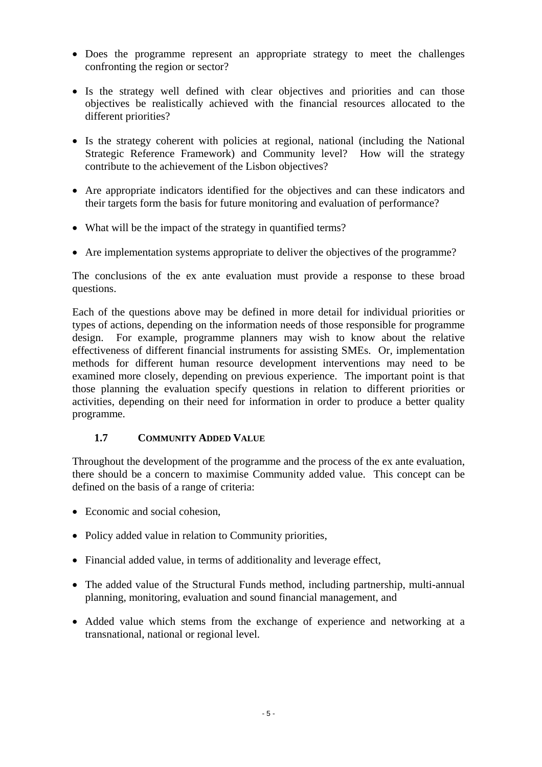- Does the programme represent an appropriate strategy to meet the challenges confronting the region or sector?
- Is the strategy well defined with clear objectives and priorities and can those objectives be realistically achieved with the financial resources allocated to the different priorities?
- Is the strategy coherent with policies at regional, national (including the National Strategic Reference Framework) and Community level? How will the strategy contribute to the achievement of the Lisbon objectives?
- Are appropriate indicators identified for the objectives and can these indicators and their targets form the basis for future monitoring and evaluation of performance?
- What will be the impact of the strategy in quantified terms?
- Are implementation systems appropriate to deliver the objectives of the programme?

The conclusions of the ex ante evaluation must provide a response to these broad questions.

Each of the questions above may be defined in more detail for individual priorities or types of actions, depending on the information needs of those responsible for programme design. For example, programme planners may wish to know about the relative effectiveness of different financial instruments for assisting SMEs. Or, implementation methods for different human resource development interventions may need to be examined more closely, depending on previous experience. The important point is that those planning the evaluation specify questions in relation to different priorities or activities, depending on their need for information in order to produce a better quality programme.

### **1.7 COMMUNITY ADDED VALUE**

<span id="page-6-0"></span>Throughout the development of the programme and the process of the ex ante evaluation, there should be a concern to maximise Community added value. This concept can be defined on the basis of a range of criteria:

- Economic and social cohesion,
- Policy added value in relation to Community priorities,
- Financial added value, in terms of additionality and leverage effect,
- The added value of the Structural Funds method, including partnership, multi-annual planning, monitoring, evaluation and sound financial management, and
- Added value which stems from the exchange of experience and networking at a transnational, national or regional level.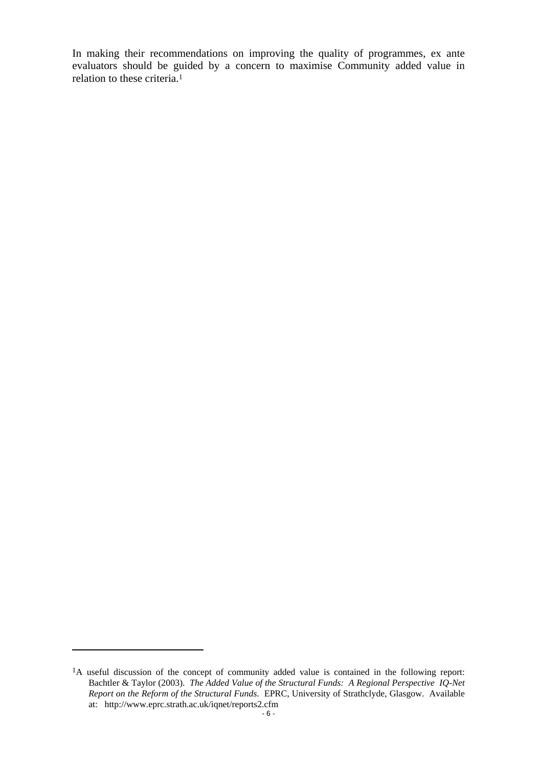In making their recommendations on improving the quality of programmes, ex ante evaluators should be guided by a concern to maximise Community added value in relation to these criteria.1

 $\overline{a}$ 

<sup>&</sup>lt;sup>1</sup>A useful discussion of the concept of community added value is contained in the following report: Bachtler & Taylor (2003). *The Added Value of the Structural Funds: A Regional Perspective IQ-Net Report on the Reform of the Structural Funds*. EPRC, University of Strathclyde, Glasgow. Available at: http://www.eprc.strath.ac.uk/iqnet/reports2.cfm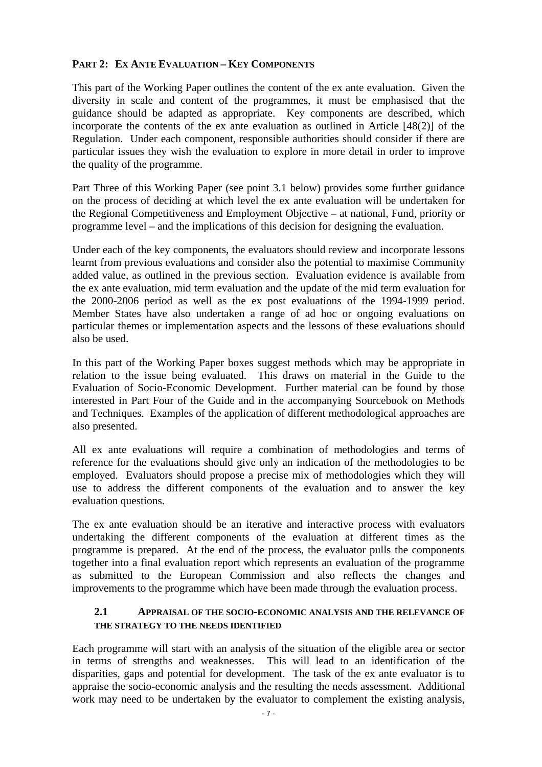### <span id="page-8-0"></span>**PART 2: EX ANTE EVALUATION – KEY COMPONENTS**

This part of the Working Paper outlines the content of the ex ante evaluation. Given the diversity in scale and content of the programmes, it must be emphasised that the guidance should be adapted as appropriate. Key components are described, which incorporate the contents of the ex ante evaluation as outlined in Article [48(2)] of the Regulation. Under each component, responsible authorities should consider if there are particular issues they wish the evaluation to explore in more detail in order to improve the quality of the programme.

Part Three of this Working Paper (see point 3.1 below) provides some further guidance on the process of deciding at which level the ex ante evaluation will be undertaken for the Regional Competitiveness and Employment Objective – at national, Fund, priority or programme level – and the implications of this decision for designing the evaluation.

Under each of the key components, the evaluators should review and incorporate lessons learnt from previous evaluations and consider also the potential to maximise Community added value, as outlined in the previous section. Evaluation evidence is available from the ex ante evaluation, mid term evaluation and the update of the mid term evaluation for the 2000-2006 period as well as the ex post evaluations of the 1994-1999 period. Member States have also undertaken a range of ad hoc or ongoing evaluations on particular themes or implementation aspects and the lessons of these evaluations should also be used.

In this part of the Working Paper boxes suggest methods which may be appropriate in relation to the issue being evaluated. This draws on material in the Guide to the Evaluation of Socio-Economic Development. Further material can be found by those interested in Part Four of the Guide and in the accompanying Sourcebook on Methods and Techniques. Examples of the application of different methodological approaches are also presented.

All ex ante evaluations will require a combination of methodologies and terms of reference for the evaluations should give only an indication of the methodologies to be employed. Evaluators should propose a precise mix of methodologies which they will use to address the different components of the evaluation and to answer the key evaluation questions.

The ex ante evaluation should be an iterative and interactive process with evaluators undertaking the different components of the evaluation at different times as the programme is prepared. At the end of the process, the evaluator pulls the components together into a final evaluation report which represents an evaluation of the programme as submitted to the European Commission and also reflects the changes and improvements to the programme which have been made through the evaluation process.

#### **2.1 APPRAISAL OF THE SOCIO-ECONOMIC ANALYSIS AND THE RELEVANCE OF THE STRATEGY TO THE NEEDS IDENTIFIED**

<span id="page-8-1"></span>Each programme will start with an analysis of the situation of the eligible area or sector in terms of strengths and weaknesses. This will lead to an identification of the disparities, gaps and potential for development. The task of the ex ante evaluator is to appraise the socio-economic analysis and the resulting the needs assessment. Additional work may need to be undertaken by the evaluator to complement the existing analysis,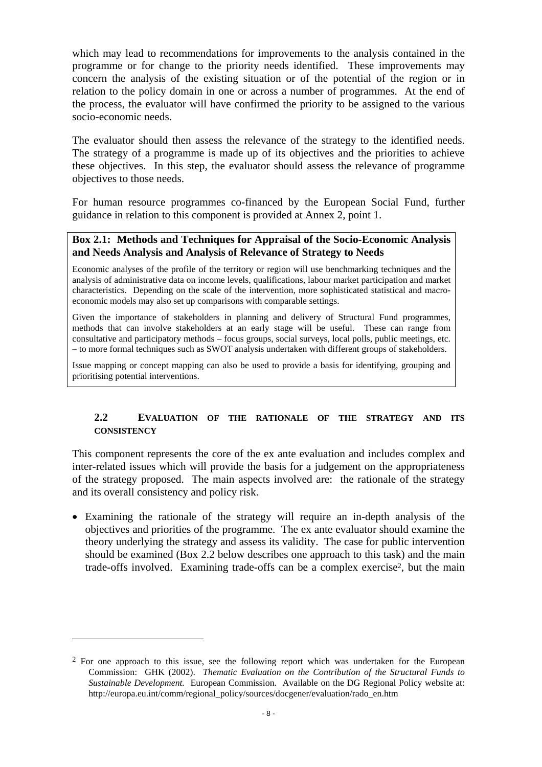which may lead to recommendations for improvements to the analysis contained in the programme or for change to the priority needs identified. These improvements may concern the analysis of the existing situation or of the potential of the region or in relation to the policy domain in one or across a number of programmes. At the end of the process, the evaluator will have confirmed the priority to be assigned to the various socio-economic needs.

The evaluator should then assess the relevance of the strategy to the identified needs. The strategy of a programme is made up of its objectives and the priorities to achieve these objectives. In this step, the evaluator should assess the relevance of programme objectives to those needs.

For human resource programmes co-financed by the European Social Fund, further guidance in relation to this component is provided at Annex 2, point 1.

#### **Box 2.1: Methods and Techniques for Appraisal of the Socio-Economic Analysis and Needs Analysis and Analysis of Relevance of Strategy to Needs**

Economic analyses of the profile of the territory or region will use benchmarking techniques and the analysis of administrative data on income levels, qualifications, labour market participation and market characteristics. Depending on the scale of the intervention, more sophisticated statistical and macroeconomic models may also set up comparisons with comparable settings.

Given the importance of stakeholders in planning and delivery of Structural Fund programmes, methods that can involve stakeholders at an early stage will be useful. These can range from consultative and participatory methods – focus groups, social surveys, local polls, public meetings, etc. – to more formal techniques such as SWOT analysis undertaken with different groups of stakeholders.

<span id="page-9-0"></span>Issue mapping or concept mapping can also be used to provide a basis for identifying, grouping and prioritising potential interventions.

#### **2.2 EVALUATION OF THE RATIONALE OF THE STRATEGY AND ITS CONSISTENCY**

This component represents the core of the ex ante evaluation and includes complex and inter-related issues which will provide the basis for a judgement on the appropriateness of the strategy proposed. The main aspects involved are: the rationale of the strategy and its overall consistency and policy risk.

• Examining the rationale of the strategy will require an in-depth analysis of the objectives and priorities of the programme. The ex ante evaluator should examine the theory underlying the strategy and assess its validity. The case for public intervention should be examined (Box 2.2 below describes one approach to this task) and the main trade-offs involved. Examining trade-offs can be a complex exercise2, but the main

 $\overline{a}$ 

 $2$  For one approach to this issue, see the following report which was undertaken for the European Commission: GHK (2002). *Thematic Evaluation on the Contribution of the Structural Funds to Sustainable Development.* European Commission. Available on the DG Regional Policy website at: http://europa.eu.int/comm/regional\_policy/sources/docgener/evaluation/rado\_en.htm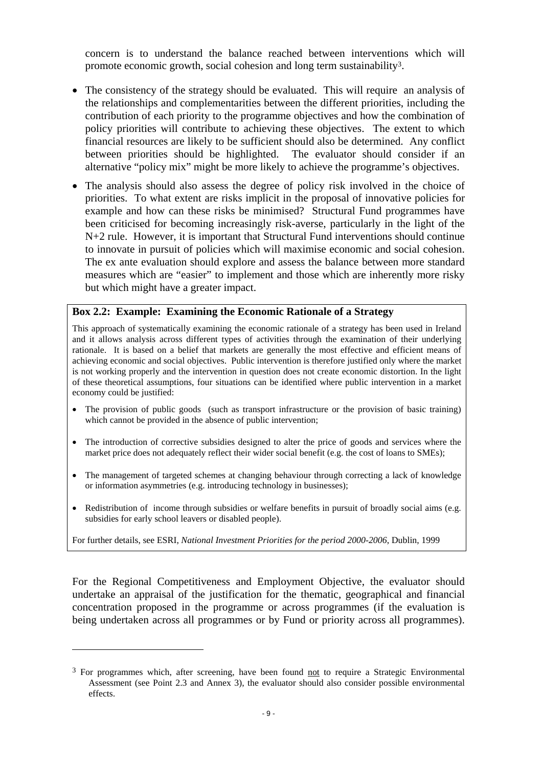concern is to understand the balance reached between interventions which will promote economic growth, social cohesion and long term sustainability3.

- The consistency of the strategy should be evaluated. This will require an analysis of the relationships and complementarities between the different priorities, including the contribution of each priority to the programme objectives and how the combination of policy priorities will contribute to achieving these objectives. The extent to which financial resources are likely to be sufficient should also be determined. Any conflict between priorities should be highlighted. The evaluator should consider if an alternative "policy mix" might be more likely to achieve the programme's objectives.
- The analysis should also assess the degree of policy risk involved in the choice of priorities. To what extent are risks implicit in the proposal of innovative policies for example and how can these risks be minimised? Structural Fund programmes have been criticised for becoming increasingly risk-averse, particularly in the light of the N+2 rule. However, it is important that Structural Fund interventions should continue to innovate in pursuit of policies which will maximise economic and social cohesion. The ex ante evaluation should explore and assess the balance between more standard measures which are "easier" to implement and those which are inherently more risky but which might have a greater impact.

#### **Box 2.2: Example: Examining the Economic Rationale of a Strategy**

This approach of systematically examining the economic rationale of a strategy has been used in Ireland and it allows analysis across different types of activities through the examination of their underlying rationale. It is based on a belief that markets are generally the most effective and efficient means of achieving economic and social objectives. Public intervention is therefore justified only where the market is not working properly and the intervention in question does not create economic distortion. In the light of these theoretical assumptions, four situations can be identified where public intervention in a market economy could be justified:

- The provision of public goods (such as transport infrastructure or the provision of basic training) which cannot be provided in the absence of public intervention;
- The introduction of corrective subsidies designed to alter the price of goods and services where the market price does not adequately reflect their wider social benefit (e.g. the cost of loans to SMEs);
- The management of targeted schemes at changing behaviour through correcting a lack of knowledge or information asymmetries (e.g. introducing technology in businesses);
- Redistribution of income through subsidies or welfare benefits in pursuit of broadly social aims (e.g. subsidies for early school leavers or disabled people).

For further details, see ESRI, *National Investment Priorities for the period 2000-2006*, Dublin, 1999

For the Regional Competitiveness and Employment Objective, the evaluator should undertake an appraisal of the justification for the thematic, geographical and financial concentration proposed in the programme or across programmes (if the evaluation is being undertaken across all programmes or by Fund or priority across all programmes).

 $\overline{a}$ 

<sup>&</sup>lt;sup>3</sup> For programmes which, after screening, have been found not to require a Strategic Environmental Assessment (see Point 2.3 and Annex 3), the evaluator should also consider possible environmental effects.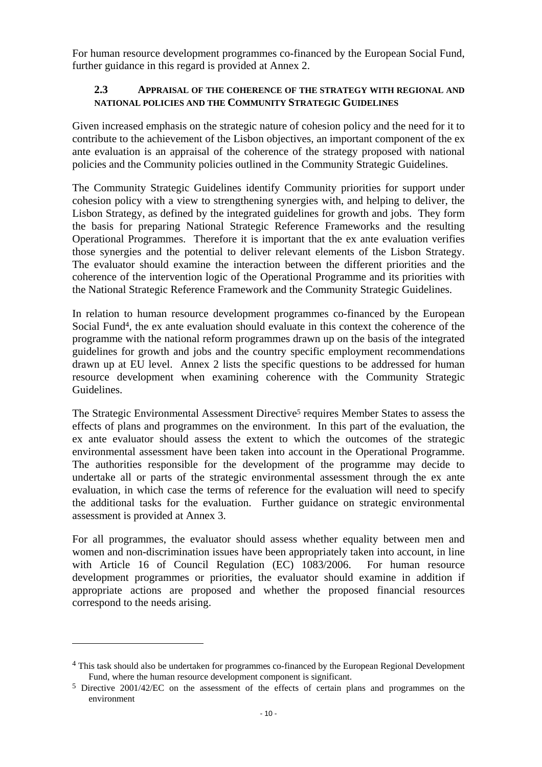<span id="page-11-0"></span>For human resource development programmes co-financed by the European Social Fund, further guidance in this regard is provided at Annex 2.

#### **2.3 APPRAISAL OF THE COHERENCE OF THE STRATEGY WITH REGIONAL AND NATIONAL POLICIES AND THE COMMUNITY STRATEGIC GUIDELINES**

Given increased emphasis on the strategic nature of cohesion policy and the need for it to contribute to the achievement of the Lisbon objectives, an important component of the ex ante evaluation is an appraisal of the coherence of the strategy proposed with national policies and the Community policies outlined in the Community Strategic Guidelines.

The Community Strategic Guidelines identify Community priorities for support under cohesion policy with a view to strengthening synergies with, and helping to deliver, the Lisbon Strategy, as defined by the integrated guidelines for growth and jobs. They form the basis for preparing National Strategic Reference Frameworks and the resulting Operational Programmes. Therefore it is important that the ex ante evaluation verifies those synergies and the potential to deliver relevant elements of the Lisbon Strategy. The evaluator should examine the interaction between the different priorities and the coherence of the intervention logic of the Operational Programme and its priorities with the National Strategic Reference Framework and the Community Strategic Guidelines.

In relation to human resource development programmes co-financed by the European Social Fund<sup>4</sup>, the ex ante evaluation should evaluate in this context the coherence of the programme with the national reform programmes drawn up on the basis of the integrated guidelines for growth and jobs and the country specific employment recommendations drawn up at EU level. Annex 2 lists the specific questions to be addressed for human resource development when examining coherence with the Community Strategic Guidelines.

The Strategic Environmental Assessment Directive<sup>5</sup> requires Member States to assess the effects of plans and programmes on the environment. In this part of the evaluation, the ex ante evaluator should assess the extent to which the outcomes of the strategic environmental assessment have been taken into account in the Operational Programme. The authorities responsible for the development of the programme may decide to undertake all or parts of the strategic environmental assessment through the ex ante evaluation, in which case the terms of reference for the evaluation will need to specify the additional tasks for the evaluation. Further guidance on strategic environmental assessment is provided at Annex 3.

For all programmes, the evaluator should assess whether equality between men and women and non-discrimination issues have been appropriately taken into account, in line with Article 16 of Council Regulation (EC) 1083/2006. For human resource development programmes or priorities, the evaluator should examine in addition if appropriate actions are proposed and whether the proposed financial resources correspond to the needs arising.

<sup>4</sup> This task should also be undertaken for programmes co-financed by the European Regional Development Fund, where the human resource development component is significant.

<sup>5</sup> Directive 2001/42/EC on the assessment of the effects of certain plans and programmes on the environment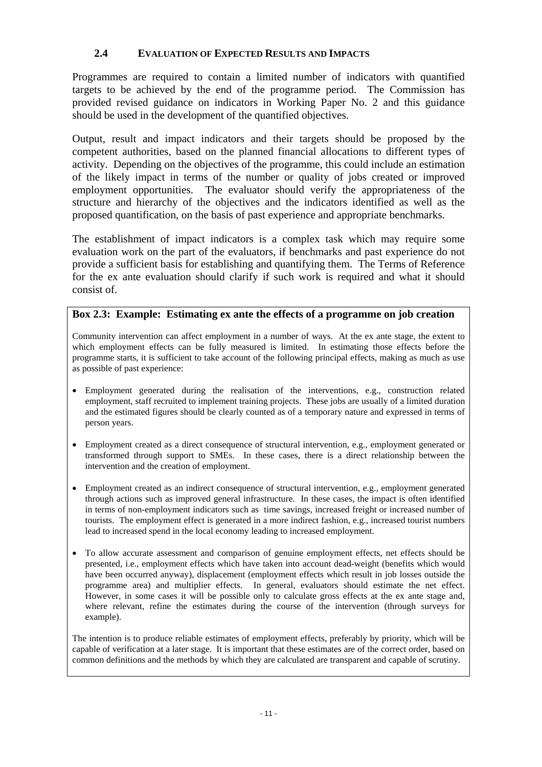### **2.4 EVALUATION OF EXPECTED RESULTS AND IMPACTS**

<span id="page-12-0"></span>Programmes are required to contain a limited number of indicators with quantified targets to be achieved by the end of the programme period. The Commission has provided revised guidance on indicators in Working Paper No. 2 and this guidance should be used in the development of the quantified objectives.

Output, result and impact indicators and their targets should be proposed by the competent authorities, based on the planned financial allocations to different types of activity. Depending on the objectives of the programme, this could include an estimation of the likely impact in terms of the number or quality of jobs created or improved employment opportunities. The evaluator should verify the appropriateness of the structure and hierarchy of the objectives and the indicators identified as well as the proposed quantification, on the basis of past experience and appropriate benchmarks.

The establishment of impact indicators is a complex task which may require some evaluation work on the part of the evaluators, if benchmarks and past experience do not provide a sufficient basis for establishing and quantifying them. The Terms of Reference for the ex ante evaluation should clarify if such work is required and what it should consist of.

### **Box 2.3: Example: Estimating ex ante the effects of a programme on job creation**

Community intervention can affect employment in a number of ways. At the ex ante stage, the extent to which employment effects can be fully measured is limited. In estimating those effects before the programme starts, it is sufficient to take account of the following principal effects, making as much as use as possible of past experience:

- Employment generated during the realisation of the interventions, e.g., construction related employment, staff recruited to implement training projects. These jobs are usually of a limited duration and the estimated figures should be clearly counted as of a temporary nature and expressed in terms of person years.
- Employment created as a direct consequence of structural intervention, e.g., employment generated or transformed through support to SMEs. In these cases, there is a direct relationship between the intervention and the creation of employment.
- Employment created as an indirect consequence of structural intervention, e.g., employment generated through actions such as improved general infrastructure. In these cases, the impact is often identified in terms of non-employment indicators such as time savings, increased freight or increased number of tourists. The employment effect is generated in a more indirect fashion, e.g., increased tourist numbers lead to increased spend in the local economy leading to increased employment.
- To allow accurate assessment and comparison of genuine employment effects, net effects should be presented, i.e., employment effects which have taken into account dead-weight (benefits which would have been occurred anyway), displacement (employment effects which result in job losses outside the programme area) and multiplier effects. In general, evaluators should estimate the net effect. However, in some cases it will be possible only to calculate gross effects at the ex ante stage and, where relevant, refine the estimates during the course of the intervention (through surveys for example).

The intention is to produce reliable estimates of employment effects, preferably by priority, which will be capable of verification at a later stage. It is important that these estimates are of the correct order, based on common definitions and the methods by which they are calculated are transparent and capable of scrutiny.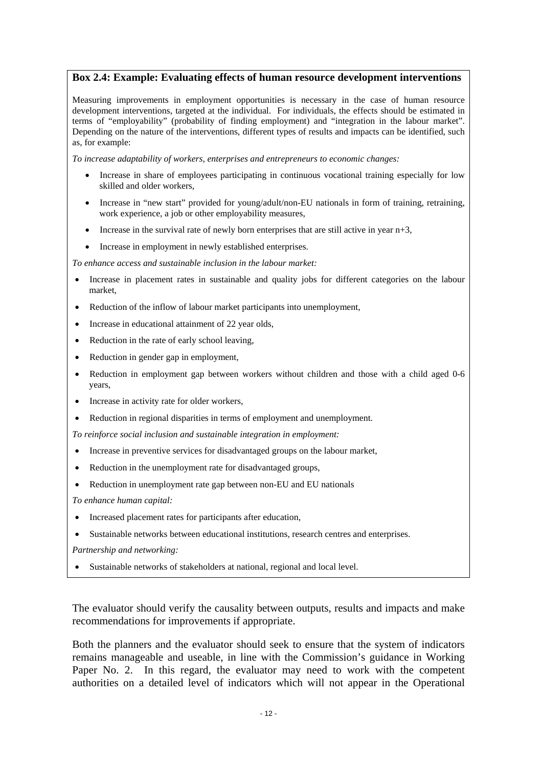#### **Box 2.4: Example: Evaluating effects of human resource development interventions**

Measuring improvements in employment opportunities is necessary in the case of human resource development interventions, targeted at the individual. For individuals, the effects should be estimated in terms of "employability" (probability of finding employment) and "integration in the labour market". Depending on the nature of the interventions, different types of results and impacts can be identified, such as, for example:

*To increase adaptability of workers, enterprises and entrepreneurs to economic changes:* 

- Increase in share of employees participating in continuous vocational training especially for low skilled and older workers,
- Increase in "new start" provided for young/adult/non-EU nationals in form of training, retraining, work experience, a job or other employability measures,
- Increase in the survival rate of newly born enterprises that are still active in year  $n+3$ ,
- Increase in employment in newly established enterprises.

*To enhance access and sustainable inclusion in the labour market:* 

- Increase in placement rates in sustainable and quality jobs for different categories on the labour market,
- Reduction of the inflow of labour market participants into unemployment,
- Increase in educational attainment of 22 year olds,
- Reduction in the rate of early school leaving,
- Reduction in gender gap in employment,
- Reduction in employment gap between workers without children and those with a child aged 0-6 years,
- Increase in activity rate for older workers,
- Reduction in regional disparities in terms of employment and unemployment.

*To reinforce social inclusion and sustainable integration in employment:* 

- Increase in preventive services for disadvantaged groups on the labour market,
- Reduction in the unemployment rate for disadvantaged groups,
- Reduction in unemployment rate gap between non-EU and EU nationals

*To enhance human capital:* 

- Increased placement rates for participants after education,
- Sustainable networks between educational institutions, research centres and enterprises.

*Partnership and networking:*

• Sustainable networks of stakeholders at national, regional and local level.

The evaluator should verify the causality between outputs, results and impacts and make recommendations for improvements if appropriate.

Both the planners and the evaluator should seek to ensure that the system of indicators remains manageable and useable, in line with the Commission's guidance in Working Paper No. 2. In this regard, the evaluator may need to work with the competent authorities on a detailed level of indicators which will not appear in the Operational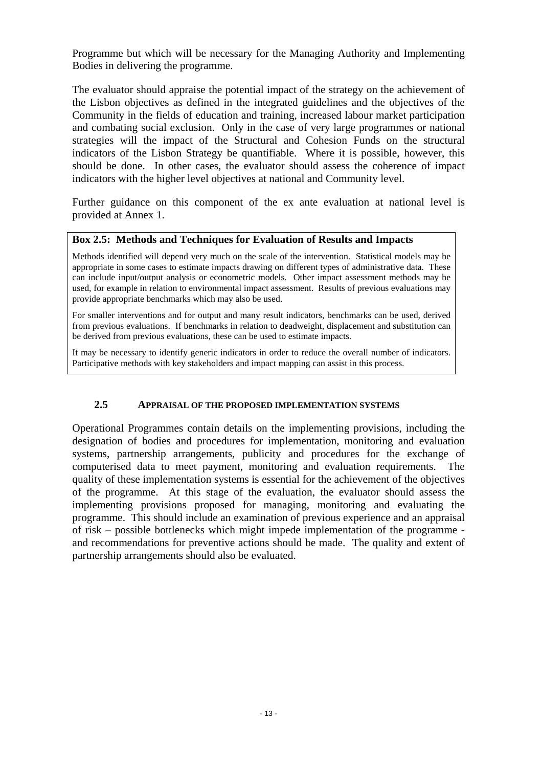Programme but which will be necessary for the Managing Authority and Implementing Bodies in delivering the programme.

The evaluator should appraise the potential impact of the strategy on the achievement of the Lisbon objectives as defined in the integrated guidelines and the objectives of the Community in the fields of education and training, increased labour market participation and combating social exclusion. Only in the case of very large programmes or national strategies will the impact of the Structural and Cohesion Funds on the structural indicators of the Lisbon Strategy be quantifiable. Where it is possible, however, this should be done. In other cases, the evaluator should assess the coherence of impact indicators with the higher level objectives at national and Community level.

Further guidance on this component of the ex ante evaluation at national level is provided at Annex 1.

#### **Box 2.5: Methods and Techniques for Evaluation of Results and Impacts**

Methods identified will depend very much on the scale of the intervention. Statistical models may be appropriate in some cases to estimate impacts drawing on different types of administrative data. These can include input/output analysis or econometric models. Other impact assessment methods may be used, for example in relation to environmental impact assessment. Results of previous evaluations may provide appropriate benchmarks which may also be used.

For smaller interventions and for output and many result indicators, benchmarks can be used, derived from previous evaluations. If benchmarks in relation to deadweight, displacement and substitution can be derived from previous evaluations, these can be used to estimate impacts.

It may be necessary to identify generic indicators in order to reduce the overall number of indicators. Participative methods with key stakeholders and impact mapping can assist in this process.

#### **2.5 APPRAISAL OF THE PROPOSED IMPLEMENTATION SYSTEMS**

<span id="page-14-0"></span>Operational Programmes contain details on the implementing provisions, including the designation of bodies and procedures for implementation, monitoring and evaluation systems, partnership arrangements, publicity and procedures for the exchange of computerised data to meet payment, monitoring and evaluation requirements. The quality of these implementation systems is essential for the achievement of the objectives of the programme. At this stage of the evaluation, the evaluator should assess the implementing provisions proposed for managing, monitoring and evaluating the programme. This should include an examination of previous experience and an appraisal of risk – possible bottlenecks which might impede implementation of the programme and recommendations for preventive actions should be made. The quality and extent of partnership arrangements should also be evaluated.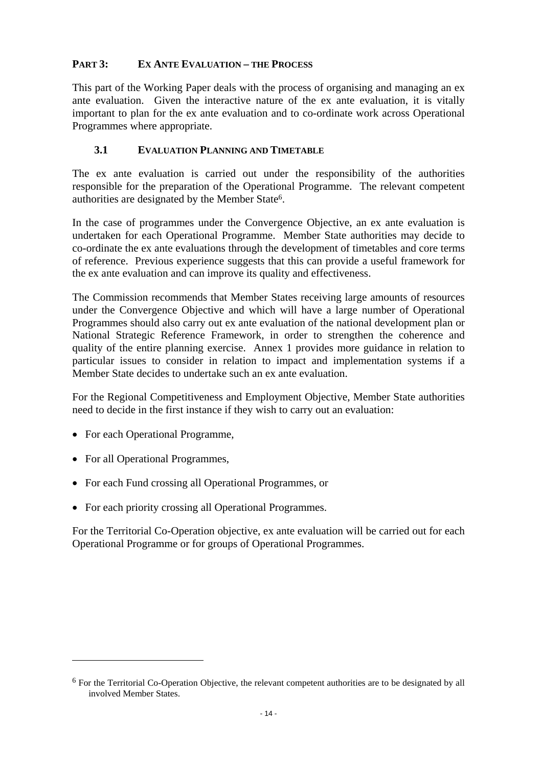### <span id="page-15-0"></span>**PART 3: EX ANTE EVALUATION – THE PROCESS**

This part of the Working Paper deals with the process of organising and managing an ex ante evaluation. Given the interactive nature of the ex ante evaluation, it is vitally important to plan for the ex ante evaluation and to co-ordinate work across Operational Programmes where appropriate.

### **3.1 EVALUATION PLANNING AND TIMETABLE**

<span id="page-15-1"></span>The ex ante evaluation is carried out under the responsibility of the authorities responsible for the preparation of the Operational Programme. The relevant competent authorities are designated by the Member State6.

In the case of programmes under the Convergence Objective, an ex ante evaluation is undertaken for each Operational Programme. Member State authorities may decide to co-ordinate the ex ante evaluations through the development of timetables and core terms of reference. Previous experience suggests that this can provide a useful framework for the ex ante evaluation and can improve its quality and effectiveness.

The Commission recommends that Member States receiving large amounts of resources under the Convergence Objective and which will have a large number of Operational Programmes should also carry out ex ante evaluation of the national development plan or National Strategic Reference Framework, in order to strengthen the coherence and quality of the entire planning exercise. Annex 1 provides more guidance in relation to particular issues to consider in relation to impact and implementation systems if a Member State decides to undertake such an ex ante evaluation.

For the Regional Competitiveness and Employment Objective, Member State authorities need to decide in the first instance if they wish to carry out an evaluation:

- For each Operational Programme,
- For all Operational Programmes,

 $\overline{a}$ 

- For each Fund crossing all Operational Programmes, or
- For each priority crossing all Operational Programmes.

For the Territorial Co-Operation objective, ex ante evaluation will be carried out for each Operational Programme or for groups of Operational Programmes.

<sup>6</sup> For the Territorial Co-Operation Objective, the relevant competent authorities are to be designated by all involved Member States.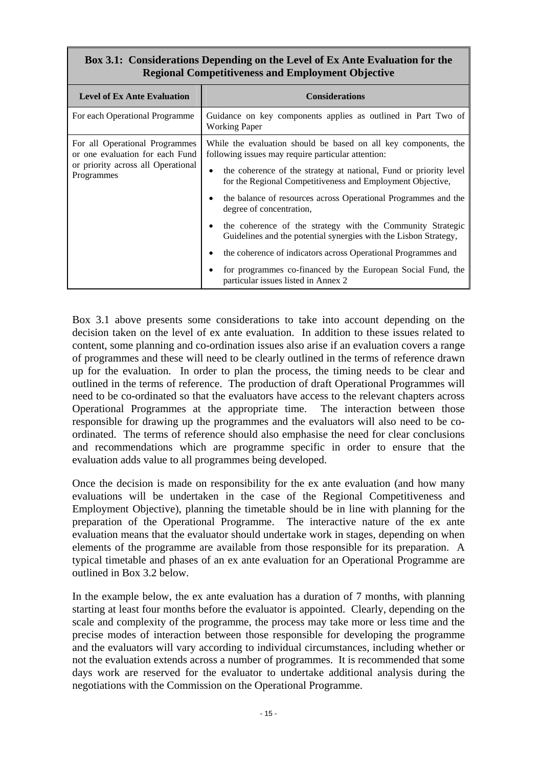# **Box 3.1: Considerations Depending on the Level of Ex Ante Evaluation for the Regional Competitiveness and Employment Objective**

| <b>Level of Ex Ante Evaluation</b>                                | <b>Considerations</b>                                                                                                           |  |  |
|-------------------------------------------------------------------|---------------------------------------------------------------------------------------------------------------------------------|--|--|
| For each Operational Programme                                    | Guidance on key components applies as outlined in Part Two of<br><b>Working Paper</b>                                           |  |  |
| For all Operational Programmes<br>or one evaluation for each Fund | While the evaluation should be based on all key components, the<br>following issues may require particular attention:           |  |  |
| or priority across all Operational<br>Programmes                  | the coherence of the strategy at national, Fund or priority level<br>for the Regional Competitiveness and Employment Objective, |  |  |
|                                                                   | the balance of resources across Operational Programmes and the<br>degree of concentration,                                      |  |  |
|                                                                   | the coherence of the strategy with the Community Strategic<br>Guidelines and the potential synergies with the Lisbon Strategy,  |  |  |
|                                                                   | the coherence of indicators across Operational Programmes and<br>$\bullet$                                                      |  |  |
|                                                                   | for programmes co-financed by the European Social Fund, the<br>particular issues listed in Annex 2                              |  |  |

Box 3.1 above presents some considerations to take into account depending on the decision taken on the level of ex ante evaluation. In addition to these issues related to content, some planning and co-ordination issues also arise if an evaluation covers a range of programmes and these will need to be clearly outlined in the terms of reference drawn up for the evaluation. In order to plan the process, the timing needs to be clear and outlined in the terms of reference. The production of draft Operational Programmes will need to be co-ordinated so that the evaluators have access to the relevant chapters across Operational Programmes at the appropriate time. The interaction between those responsible for drawing up the programmes and the evaluators will also need to be coordinated. The terms of reference should also emphasise the need for clear conclusions and recommendations which are programme specific in order to ensure that the evaluation adds value to all programmes being developed.

Once the decision is made on responsibility for the ex ante evaluation (and how many evaluations will be undertaken in the case of the Regional Competitiveness and Employment Objective), planning the timetable should be in line with planning for the preparation of the Operational Programme. The interactive nature of the ex ante evaluation means that the evaluator should undertake work in stages, depending on when elements of the programme are available from those responsible for its preparation. A typical timetable and phases of an ex ante evaluation for an Operational Programme are outlined in Box 3.2 below.

In the example below, the ex ante evaluation has a duration of 7 months, with planning starting at least four months before the evaluator is appointed. Clearly, depending on the scale and complexity of the programme, the process may take more or less time and the precise modes of interaction between those responsible for developing the programme and the evaluators will vary according to individual circumstances, including whether or not the evaluation extends across a number of programmes. It is recommended that some days work are reserved for the evaluator to undertake additional analysis during the negotiations with the Commission on the Operational Programme.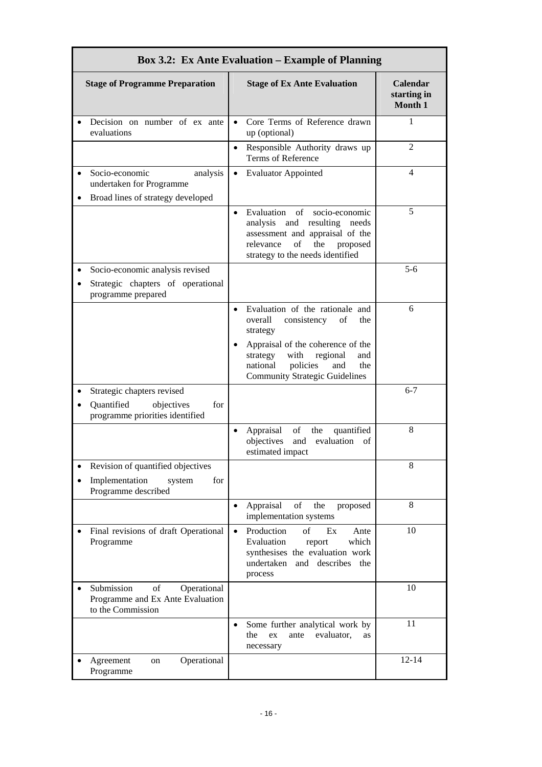| <b>Box 3.2: Ex Ante Evaluation – Example of Planning</b>                                         |                                                                                                                                                                                                                                                            |                                    |  |  |  |
|--------------------------------------------------------------------------------------------------|------------------------------------------------------------------------------------------------------------------------------------------------------------------------------------------------------------------------------------------------------------|------------------------------------|--|--|--|
| <b>Stage of Programme Preparation</b>                                                            | <b>Stage of Ex Ante Evaluation</b>                                                                                                                                                                                                                         | Calendar<br>starting in<br>Month 1 |  |  |  |
| Decision on number of ex ante<br>evaluations                                                     | Core Terms of Reference drawn<br>up (optional)                                                                                                                                                                                                             | 1                                  |  |  |  |
|                                                                                                  | Responsible Authority draws up<br>$\bullet$<br>Terms of Reference                                                                                                                                                                                          | $\overline{2}$                     |  |  |  |
| Socio-economic<br>analysis<br>$\bullet$<br>undertaken for Programme                              | <b>Evaluator Appointed</b><br>$\bullet$                                                                                                                                                                                                                    | 4                                  |  |  |  |
| Broad lines of strategy developed                                                                | Evaluation of<br>socio-economic<br>$\bullet$<br>analysis and resulting needs<br>assessment and appraisal of the<br>of<br>the<br>relevance<br>proposed<br>strategy to the needs identified                                                                  | 5                                  |  |  |  |
| Socio-economic analysis revised<br>Strategic chapters of operational<br>programme prepared       |                                                                                                                                                                                                                                                            | $5 - 6$                            |  |  |  |
|                                                                                                  | Evaluation of the rationale and<br>$\bullet$<br>overall<br>consistency<br>of<br>the<br>strategy<br>Appraisal of the coherence of the<br>with<br>regional<br>strategy<br>and<br>policies<br>national<br>and<br>the<br><b>Community Strategic Guidelines</b> | 6                                  |  |  |  |
| Strategic chapters revised<br>Quantified<br>objectives<br>for<br>programme priorities identified |                                                                                                                                                                                                                                                            | $6 - 7$                            |  |  |  |
|                                                                                                  | Appraisal<br>of<br>quantified<br>the<br>$\bullet$<br>objectives<br>evaluation<br>and<br>of<br>estimated impact                                                                                                                                             | 8                                  |  |  |  |
| Revision of quantified objectives<br>Implementation<br>for<br>system<br>Programme described      |                                                                                                                                                                                                                                                            | 8                                  |  |  |  |
|                                                                                                  | Appraisal<br>of<br>the<br>proposed<br>$\bullet$<br>implementation systems                                                                                                                                                                                  | 8                                  |  |  |  |
| Final revisions of draft Operational<br>Programme                                                | Production<br>of<br>Ex<br>$\bullet$<br>Ante<br>Evaluation<br>which<br>report<br>synthesises the evaluation work<br>undertaken<br>and describes<br>the<br>process                                                                                           | 10                                 |  |  |  |
| Submission<br>of<br>Operational<br>Programme and Ex Ante Evaluation<br>to the Commission         |                                                                                                                                                                                                                                                            | 10                                 |  |  |  |
|                                                                                                  | Some further analytical work by<br>$\bullet$<br>evaluator,<br>the<br>ex<br>ante<br>as<br>necessary                                                                                                                                                         | 11                                 |  |  |  |
| Operational<br>Agreement<br>on<br>Programme                                                      |                                                                                                                                                                                                                                                            | $12 - 14$                          |  |  |  |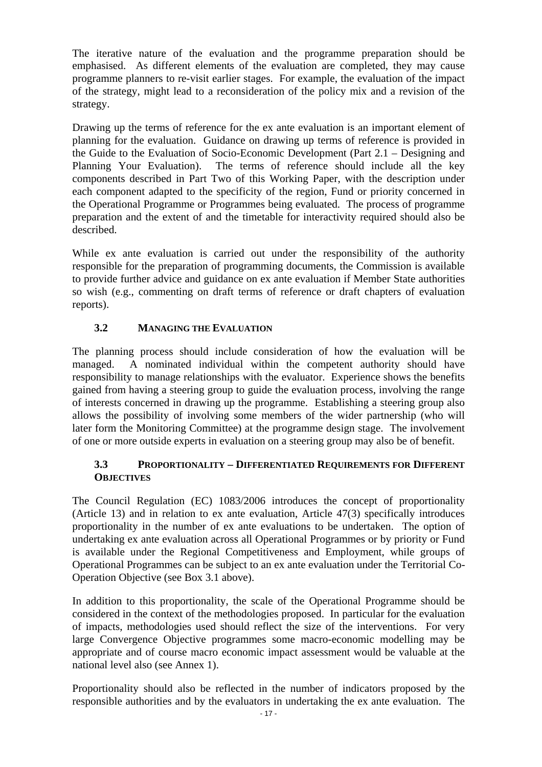The iterative nature of the evaluation and the programme preparation should be emphasised. As different elements of the evaluation are completed, they may cause programme planners to re-visit earlier stages. For example, the evaluation of the impact of the strategy, might lead to a reconsideration of the policy mix and a revision of the strategy.

Drawing up the terms of reference for the ex ante evaluation is an important element of planning for the evaluation. Guidance on drawing up terms of reference is provided in the Guide to the Evaluation of Socio-Economic Development (Part 2.1 – Designing and Planning Your Evaluation). The terms of reference should include all the key components described in Part Two of this Working Paper, with the description under each component adapted to the specificity of the region, Fund or priority concerned in the Operational Programme or Programmes being evaluated. The process of programme preparation and the extent of and the timetable for interactivity required should also be described.

While ex ante evaluation is carried out under the responsibility of the authority responsible for the preparation of programming documents, the Commission is available to provide further advice and guidance on ex ante evaluation if Member State authorities so wish (e.g., commenting on draft terms of reference or draft chapters of evaluation reports).

### **3.2 MANAGING THE EVALUATION**

<span id="page-18-0"></span>The planning process should include consideration of how the evaluation will be managed. A nominated individual within the competent authority should have responsibility to manage relationships with the evaluator. Experience shows the benefits gained from having a steering group to guide the evaluation process, involving the range of interests concerned in drawing up the programme. Establishing a steering group also allows the possibility of involving some members of the wider partnership (who will later form the Monitoring Committee) at the programme design stage. The involvement of one or more outside experts in evaluation on a steering group may also be of benefit.

### **3.3 PROPORTIONALITY – DIFFERENTIATED REQUIREMENTS FOR DIFFERENT OBJECTIVES**

<span id="page-18-1"></span>The Council Regulation (EC) 1083/2006 introduces the concept of proportionality (Article 13) and in relation to ex ante evaluation, Article 47(3) specifically introduces proportionality in the number of ex ante evaluations to be undertaken. The option of undertaking ex ante evaluation across all Operational Programmes or by priority or Fund is available under the Regional Competitiveness and Employment, while groups of Operational Programmes can be subject to an ex ante evaluation under the Territorial Co-Operation Objective (see Box 3.1 above).

In addition to this proportionality, the scale of the Operational Programme should be considered in the context of the methodologies proposed. In particular for the evaluation of impacts, methodologies used should reflect the size of the interventions. For very large Convergence Objective programmes some macro-economic modelling may be appropriate and of course macro economic impact assessment would be valuable at the national level also (see Annex 1).

Proportionality should also be reflected in the number of indicators proposed by the responsible authorities and by the evaluators in undertaking the ex ante evaluation. The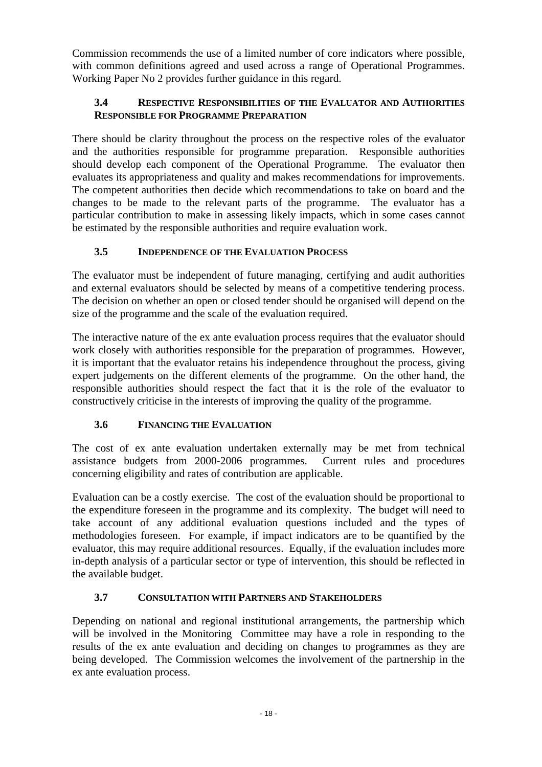<span id="page-19-0"></span>Commission recommends the use of a limited number of core indicators where possible, with common definitions agreed and used across a range of Operational Programmes. Working Paper No 2 provides further guidance in this regard.

# **3.4 RESPECTIVE RESPONSIBILITIES OF THE EVALUATOR AND AUTHORITIES RESPONSIBLE FOR PROGRAMME PREPARATION**

There should be clarity throughout the process on the respective roles of the evaluator and the authorities responsible for programme preparation. Responsible authorities should develop each component of the Operational Programme. The evaluator then evaluates its appropriateness and quality and makes recommendations for improvements. The competent authorities then decide which recommendations to take on board and the changes to be made to the relevant parts of the programme. The evaluator has a particular contribution to make in assessing likely impacts, which in some cases cannot be estimated by the responsible authorities and require evaluation work.

# **3.5 INDEPENDENCE OF THE EVALUATION PROCESS**

<span id="page-19-1"></span>The evaluator must be independent of future managing, certifying and audit authorities and external evaluators should be selected by means of a competitive tendering process. The decision on whether an open or closed tender should be organised will depend on the size of the programme and the scale of the evaluation required.

The interactive nature of the ex ante evaluation process requires that the evaluator should work closely with authorities responsible for the preparation of programmes. However, it is important that the evaluator retains his independence throughout the process, giving expert judgements on the different elements of the programme. On the other hand, the responsible authorities should respect the fact that it is the role of the evaluator to constructively criticise in the interests of improving the quality of the programme.

# **3.6 FINANCING THE EVALUATION**

<span id="page-19-2"></span>The cost of ex ante evaluation undertaken externally may be met from technical assistance budgets from 2000-2006 programmes. Current rules and procedures concerning eligibility and rates of contribution are applicable.

Evaluation can be a costly exercise. The cost of the evaluation should be proportional to the expenditure foreseen in the programme and its complexity. The budget will need to take account of any additional evaluation questions included and the types of methodologies foreseen. For example, if impact indicators are to be quantified by the evaluator, this may require additional resources. Equally, if the evaluation includes more in-depth analysis of a particular sector or type of intervention, this should be reflected in the available budget.

# **3.7 CONSULTATION WITH PARTNERS AND STAKEHOLDERS**

<span id="page-19-3"></span>Depending on national and regional institutional arrangements, the partnership which will be involved in the Monitoring Committee may have a role in responding to the results of the ex ante evaluation and deciding on changes to programmes as they are being developed. The Commission welcomes the involvement of the partnership in the ex ante evaluation process.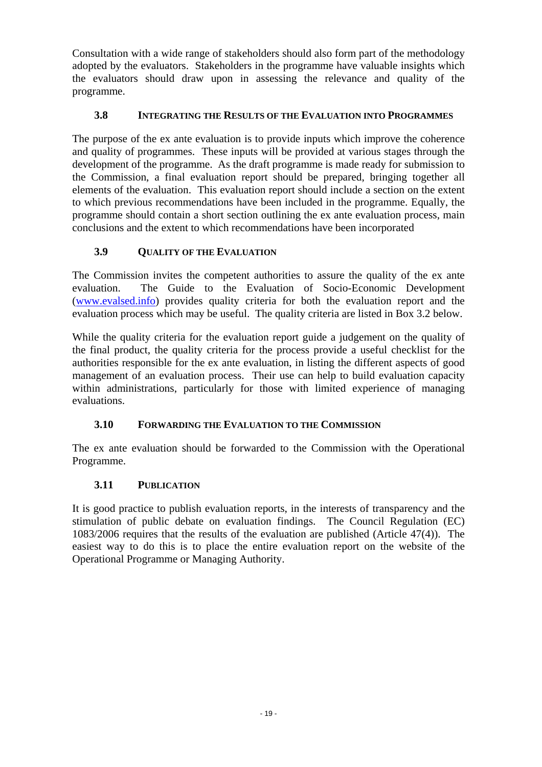Consultation with a wide range of stakeholders should also form part of the methodology adopted by the evaluators. Stakeholders in the programme have valuable insights which the evaluators should draw upon in assessing the relevance and quality of the programme.

### **3.8 INTEGRATING THE RESULTS OF THE EVALUATION INTO PROGRAMMES**

<span id="page-20-0"></span>The purpose of the ex ante evaluation is to provide inputs which improve the coherence and quality of programmes. These inputs will be provided at various stages through the development of the programme. As the draft programme is made ready for submission to the Commission, a final evaluation report should be prepared, bringing together all elements of the evaluation. This evaluation report should include a section on the extent to which previous recommendations have been included in the programme. Equally, the programme should contain a short section outlining the ex ante evaluation process, main conclusions and the extent to which recommendations have been incorporated

# **3.9 QUALITY OF THE EVALUATION**

<span id="page-20-1"></span>The Commission invites the competent authorities to assure the quality of the ex ante evaluation. The Guide to the Evaluation of Socio-Economic Development [\(www.evalsed.info\)](http://www.evalsed.info/) provides quality criteria for both the evaluation report and the evaluation process which may be useful. The quality criteria are listed in Box 3.2 below.

While the quality criteria for the evaluation report guide a judgement on the quality of the final product, the quality criteria for the process provide a useful checklist for the authorities responsible for the ex ante evaluation, in listing the different aspects of good management of an evaluation process. Their use can help to build evaluation capacity within administrations, particularly for those with limited experience of managing evaluations.

# **3.10 FORWARDING THE EVALUATION TO THE COMMISSION**

<span id="page-20-3"></span><span id="page-20-2"></span>The ex ante evaluation should be forwarded to the Commission with the Operational Programme.

# **3.11 PUBLICATION**

It is good practice to publish evaluation reports, in the interests of transparency and the stimulation of public debate on evaluation findings. The Council Regulation (EC) 1083/2006 requires that the results of the evaluation are published (Article 47(4)). The easiest way to do this is to place the entire evaluation report on the website of the Operational Programme or Managing Authority.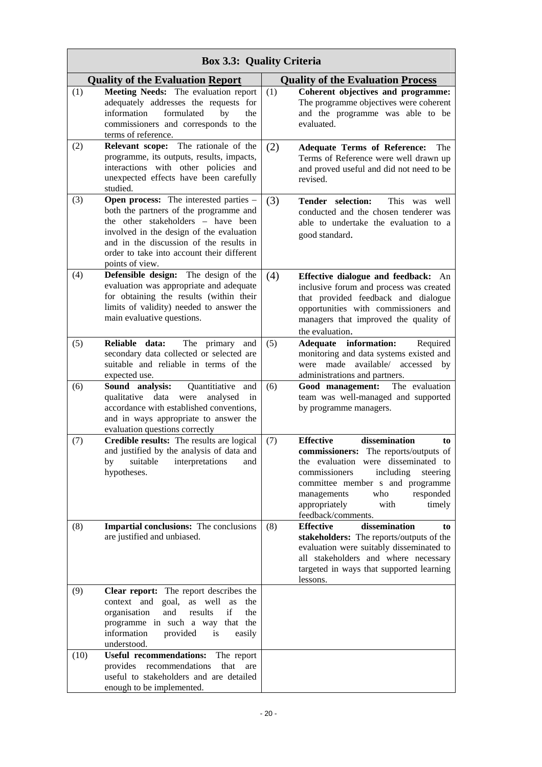| <b>Box 3.3: Quality Criteria</b> |                                                                                                                                                                                                                                                                                       |     |                                                                                                                                                                                                                                                                                                   |  |  |
|----------------------------------|---------------------------------------------------------------------------------------------------------------------------------------------------------------------------------------------------------------------------------------------------------------------------------------|-----|---------------------------------------------------------------------------------------------------------------------------------------------------------------------------------------------------------------------------------------------------------------------------------------------------|--|--|
|                                  | <b>Quality of the Evaluation Report</b>                                                                                                                                                                                                                                               |     | <b>Quality of the Evaluation Process</b>                                                                                                                                                                                                                                                          |  |  |
| (1)                              | Meeting Needs: The evaluation report<br>adequately addresses the requests for<br>information<br>formulated<br>by<br>the<br>commissioners and corresponds to the<br>terms of reference.                                                                                                | (1) | Coherent objectives and programme:<br>The programme objectives were coherent<br>and the programme was able to be<br>evaluated.                                                                                                                                                                    |  |  |
| (2)                              | Relevant scope: The rationale of the<br>programme, its outputs, results, impacts,<br>interactions with other policies and<br>unexpected effects have been carefully<br>studied.                                                                                                       | (2) | <b>Adequate Terms of Reference:</b><br><b>The</b><br>Terms of Reference were well drawn up<br>and proved useful and did not need to be<br>revised.                                                                                                                                                |  |  |
| (3)                              | <b>Open process:</b> The interested parties –<br>both the partners of the programme and<br>the other stakeholders - have been<br>involved in the design of the evaluation<br>and in the discussion of the results in<br>order to take into account their different<br>points of view. | (3) | Tender selection:<br>This was well<br>conducted and the chosen tenderer was<br>able to undertake the evaluation to a<br>good standard.                                                                                                                                                            |  |  |
| (4)                              | Defensible design: The design of the<br>evaluation was appropriate and adequate<br>for obtaining the results (within their<br>limits of validity) needed to answer the<br>main evaluative questions.                                                                                  | (4) | Effective dialogue and feedback: An<br>inclusive forum and process was created<br>that provided feedback and dialogue<br>opportunities with commissioners and<br>managers that improved the quality of<br>the evaluation.                                                                         |  |  |
| (5)                              | The primary<br>Reliable data:<br>and<br>secondary data collected or selected are<br>suitable and reliable in terms of the<br>expected use.                                                                                                                                            | (5) | Adequate information:<br>Required<br>monitoring and data systems existed and<br>were made<br>available/<br>accessed<br>by<br>administrations and partners.                                                                                                                                        |  |  |
| (6)                              | Sound analysis:<br>Quantitiative<br>and<br>qualitative<br>data<br>analysed<br>were<br>in<br>accordance with established conventions,<br>and in ways appropriate to answer the<br>evaluation questions correctly                                                                       | (6) | Good management:<br>The evaluation<br>team was well-managed and supported<br>by programme managers.                                                                                                                                                                                               |  |  |
| (7)                              | Credible results: The results are logical<br>and justified by the analysis of data and<br>by<br>suitable<br>interpretations<br>and<br>hypotheses.                                                                                                                                     | (7) | <b>Effective</b><br>dissemination<br>to<br>commissioners: The reports/outputs of<br>the evaluation were disseminated to<br>commissioners<br>including<br>steering<br>committee member s and programme<br>responded<br>managements<br>who<br>appropriately<br>timely<br>with<br>feedback/comments. |  |  |
| (8)                              | Impartial conclusions: The conclusions<br>are justified and unbiased.                                                                                                                                                                                                                 | (8) | <b>Effective</b><br>dissemination<br>to<br>stakeholders: The reports/outputs of the<br>evaluation were suitably disseminated to<br>all stakeholders and where necessary<br>targeted in ways that supported learning<br>lessons.                                                                   |  |  |
| (9)                              | Clear report: The report describes the<br>context and goal,<br>well as<br>as<br>the<br>if<br>results<br>organisation<br>and<br>the<br>programme in such a way that the<br>information<br>provided<br>is<br>easily<br>understood.                                                      |     |                                                                                                                                                                                                                                                                                                   |  |  |
| (10)                             | <b>Useful recommendations:</b><br>The report<br>provides recommendations<br>that<br>are<br>useful to stakeholders and are detailed<br>enough to be implemented.                                                                                                                       |     |                                                                                                                                                                                                                                                                                                   |  |  |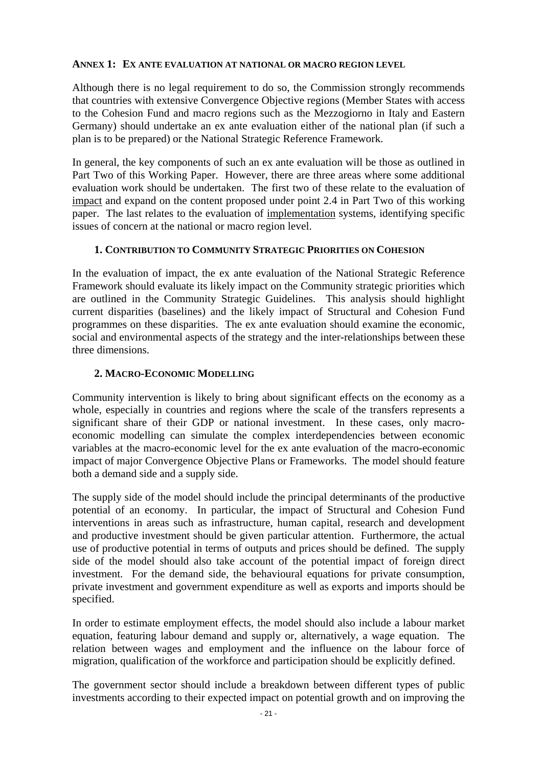### <span id="page-22-0"></span>**ANNEX 1: EX ANTE EVALUATION AT NATIONAL OR MACRO REGION LEVEL**

Although there is no legal requirement to do so, the Commission strongly recommends that countries with extensive Convergence Objective regions (Member States with access to the Cohesion Fund and macro regions such as the Mezzogiorno in Italy and Eastern Germany) should undertake an ex ante evaluation either of the national plan (if such a plan is to be prepared) or the National Strategic Reference Framework.

In general, the key components of such an ex ante evaluation will be those as outlined in Part Two of this Working Paper. However, there are three areas where some additional evaluation work should be undertaken. The first two of these relate to the evaluation of impact and expand on the content proposed under point 2.4 in Part Two of this working paper. The last relates to the evaluation of implementation systems, identifying specific issues of concern at the national or macro region level.

### **1. CONTRIBUTION TO COMMUNITY STRATEGIC PRIORITIES ON COHESION**

<span id="page-22-1"></span>In the evaluation of impact, the ex ante evaluation of the National Strategic Reference Framework should evaluate its likely impact on the Community strategic priorities which are outlined in the Community Strategic Guidelines. This analysis should highlight current disparities (baselines) and the likely impact of Structural and Cohesion Fund programmes on these disparities. The ex ante evaluation should examine the economic, social and environmental aspects of the strategy and the inter-relationships between these three dimensions.

### **2. MACRO-ECONOMIC MODELLING**

<span id="page-22-2"></span>Community intervention is likely to bring about significant effects on the economy as a whole, especially in countries and regions where the scale of the transfers represents a significant share of their GDP or national investment. In these cases, only macroeconomic modelling can simulate the complex interdependencies between economic variables at the macro-economic level for the ex ante evaluation of the macro-economic impact of major Convergence Objective Plans or Frameworks. The model should feature both a demand side and a supply side.

The supply side of the model should include the principal determinants of the productive potential of an economy. In particular, the impact of Structural and Cohesion Fund interventions in areas such as infrastructure, human capital, research and development and productive investment should be given particular attention. Furthermore, the actual use of productive potential in terms of outputs and prices should be defined. The supply side of the model should also take account of the potential impact of foreign direct investment. For the demand side, the behavioural equations for private consumption, private investment and government expenditure as well as exports and imports should be specified.

In order to estimate employment effects, the model should also include a labour market equation, featuring labour demand and supply or, alternatively, a wage equation. The relation between wages and employment and the influence on the labour force of migration, qualification of the workforce and participation should be explicitly defined.

The government sector should include a breakdown between different types of public investments according to their expected impact on potential growth and on improving the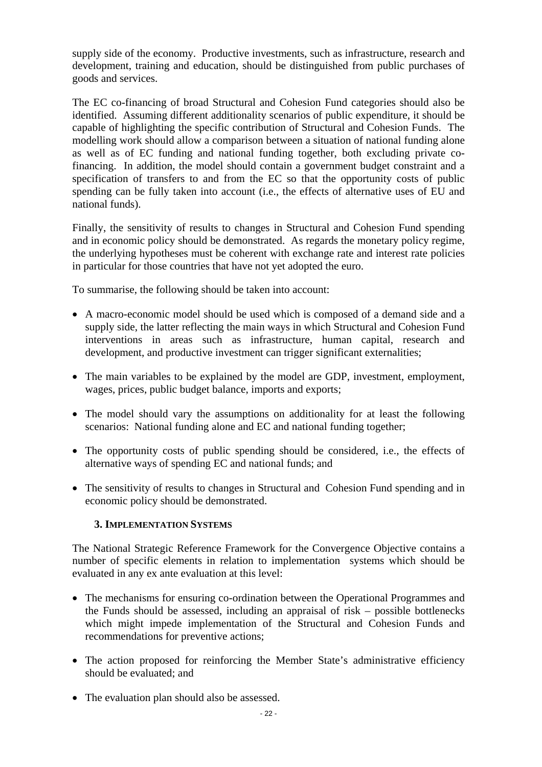supply side of the economy. Productive investments, such as infrastructure, research and development, training and education, should be distinguished from public purchases of goods and services.

The EC co-financing of broad Structural and Cohesion Fund categories should also be identified. Assuming different additionality scenarios of public expenditure, it should be capable of highlighting the specific contribution of Structural and Cohesion Funds. The modelling work should allow a comparison between a situation of national funding alone as well as of EC funding and national funding together, both excluding private cofinancing. In addition, the model should contain a government budget constraint and a specification of transfers to and from the EC so that the opportunity costs of public spending can be fully taken into account (i.e., the effects of alternative uses of EU and national funds).

Finally, the sensitivity of results to changes in Structural and Cohesion Fund spending and in economic policy should be demonstrated. As regards the monetary policy regime, the underlying hypotheses must be coherent with exchange rate and interest rate policies in particular for those countries that have not yet adopted the euro.

To summarise, the following should be taken into account:

- A macro-economic model should be used which is composed of a demand side and a supply side, the latter reflecting the main ways in which Structural and Cohesion Fund interventions in areas such as infrastructure, human capital, research and development, and productive investment can trigger significant externalities;
- The main variables to be explained by the model are GDP, investment, employment, wages, prices, public budget balance, imports and exports;
- The model should vary the assumptions on additionality for at least the following scenarios: National funding alone and EC and national funding together;
- The opportunity costs of public spending should be considered, i.e., the effects of alternative ways of spending EC and national funds; and
- <span id="page-23-0"></span>• The sensitivity of results to changes in Structural and Cohesion Fund spending and in economic policy should be demonstrated.

### **3. IMPLEMENTATION SYSTEMS**

The National Strategic Reference Framework for the Convergence Objective contains a number of specific elements in relation to implementation systems which should be evaluated in any ex ante evaluation at this level:

- The mechanisms for ensuring co-ordination between the Operational Programmes and the Funds should be assessed, including an appraisal of risk – possible bottlenecks which might impede implementation of the Structural and Cohesion Funds and recommendations for preventive actions;
- The action proposed for reinforcing the Member State's administrative efficiency should be evaluated; and
- The evaluation plan should also be assessed.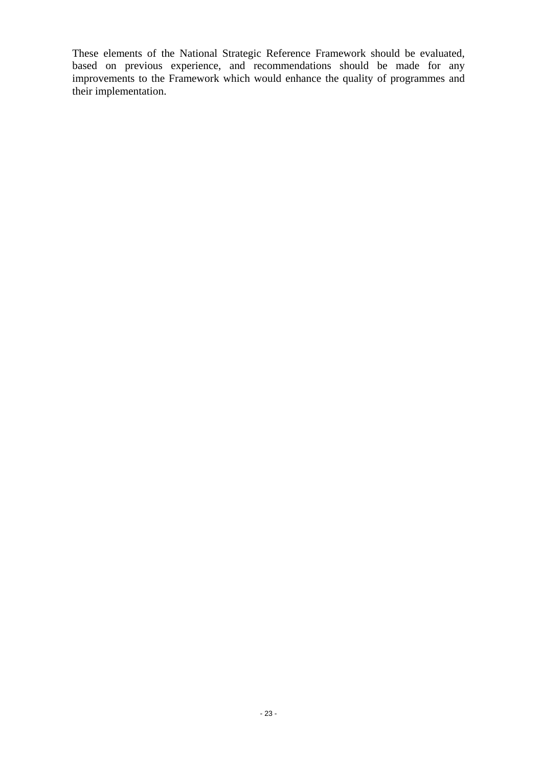These elements of the National Strategic Reference Framework should be evaluated, based on previous experience, and recommendations should be made for any improvements to the Framework which would enhance the quality of programmes and their implementation.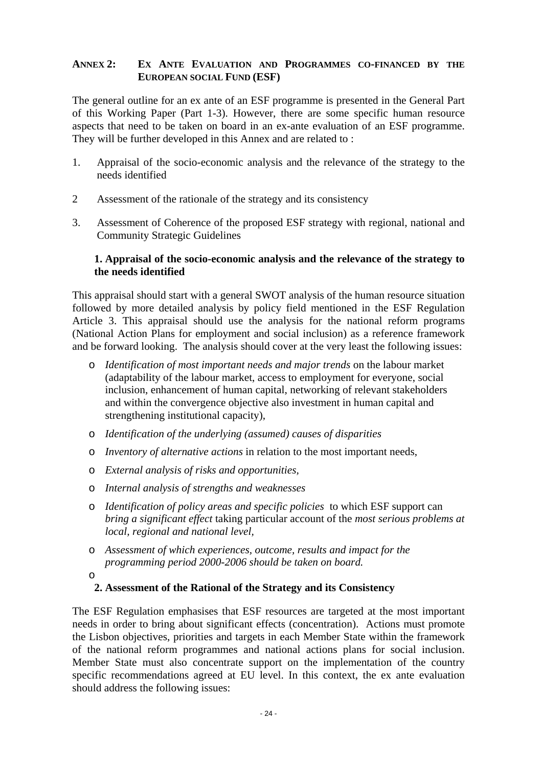### <span id="page-25-0"></span>**ANNEX 2: EX ANTE EVALUATION AND PROGRAMMES CO-FINANCED BY THE EUROPEAN SOCIAL FUND (ESF)**

The general outline for an ex ante of an ESF programme is presented in the General Part of this Working Paper (Part 1-3). However, there are some specific human resource aspects that need to be taken on board in an ex-ante evaluation of an ESF programme. They will be further developed in this Annex and are related to :

- 1. Appraisal of the socio-economic analysis and the relevance of the strategy to the needs identified
- 2 Assessment of the rationale of the strategy and its consistency
- <span id="page-25-1"></span>3. Assessment of Coherence of the proposed ESF strategy with regional, national and Community Strategic Guidelines

### **1. Appraisal of the socio-economic analysis and the relevance of the strategy to the needs identified**

This appraisal should start with a general SWOT analysis of the human resource situation followed by more detailed analysis by policy field mentioned in the ESF Regulation Article 3. This appraisal should use the analysis for the national reform programs (National Action Plans for employment and social inclusion) as a reference framework and be forward looking. The analysis should cover at the very least the following issues:

- o *Identification of most important needs and major trends* on the labour market (adaptability of the labour market, access to employment for everyone, social inclusion, enhancement of human capital, networking of relevant stakeholders and within the convergence objective also investment in human capital and strengthening institutional capacity),
- o *Identification of the underlying (assumed) causes of disparities*
- o *Inventory of alternative actions* in relation to the most important needs,
- o *External analysis of risks and opportunities,*
- o *Internal analysis of strengths and weaknesses*
- o *Identification of policy areas and specific policies* to which ESF support can *bring a significant effect* taking particular account of the *most serious problems at local, regional and national level,*
- o *Assessment of which experiences, outcome, results and impact for the programming period 2000-2006 should be taken on board.*
- o

### **2. Assessment of the Rational of the Strategy and its Consistency**

<span id="page-25-2"></span>The ESF Regulation emphasises that ESF resources are targeted at the most important needs in order to bring about significant effects (concentration). Actions must promote the Lisbon objectives, priorities and targets in each Member State within the framework of the national reform programmes and national actions plans for social inclusion. Member State must also concentrate support on the implementation of the country specific recommendations agreed at EU level. In this context, the ex ante evaluation should address the following issues: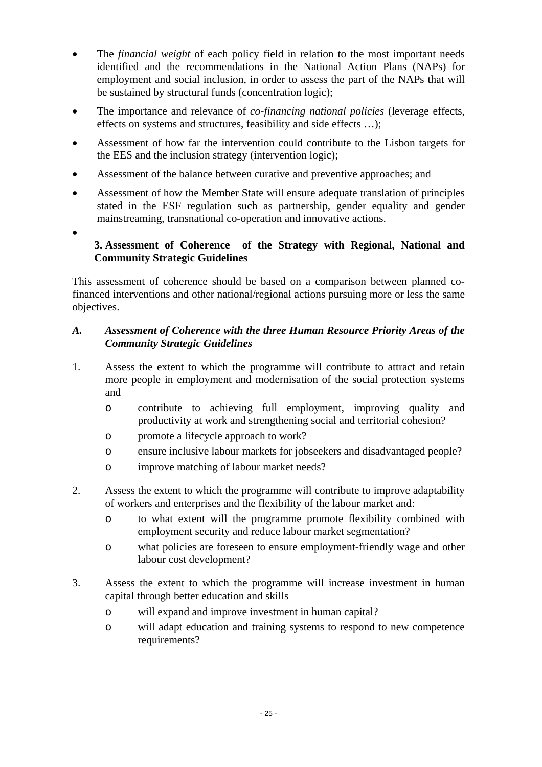- The *financial weight* of each policy field in relation to the most important needs identified and the recommendations in the National Action Plans (NAPs) for employment and social inclusion, in order to assess the part of the NAPs that will be sustained by structural funds (concentration logic);
- The importance and relevance of *co-financing national policies* (leverage effects, effects on systems and structures, feasibility and side effects …);
- Assessment of how far the intervention could contribute to the Lisbon targets for the EES and the inclusion strategy (intervention logic);
- Assessment of the balance between curative and preventive approaches; and
- Assessment of how the Member State will ensure adequate translation of principles stated in the ESF regulation such as partnership, gender equality and gender mainstreaming, transnational co-operation and innovative actions.
- <span id="page-26-0"></span>•

# **3. Assessment of Coherence of the Strategy with Regional, National and Community Strategic Guidelines**

This assessment of coherence should be based on a comparison between planned cofinanced interventions and other national/regional actions pursuing more or less the same objectives.

### *A. Assessment of Coherence with the three Human Resource Priority Areas of the Community Strategic Guidelines*

- 1. Assess the extent to which the programme will contribute to attract and retain more people in employment and modernisation of the social protection systems and
	- o contribute to achieving full employment, improving quality and productivity at work and strengthening social and territorial cohesion?
	- o promote a lifecycle approach to work?
	- o ensure inclusive labour markets for jobseekers and disadvantaged people?
	- o improve matching of labour market needs?
- 2. Assess the extent to which the programme will contribute to improve adaptability of workers and enterprises and the flexibility of the labour market and:
	- o to what extent will the programme promote flexibility combined with employment security and reduce labour market segmentation?
	- o what policies are foreseen to ensure employment-friendly wage and other labour cost development?
- 3. Assess the extent to which the programme will increase investment in human capital through better education and skills
	- o will expand and improve investment in human capital?
	- o will adapt education and training systems to respond to new competence requirements?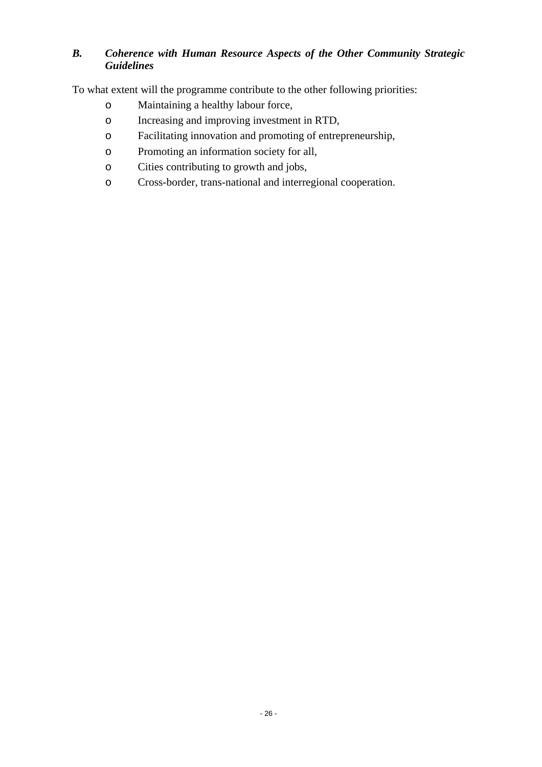# *B. Coherence with Human Resource Aspects of the Other Community Strategic Guidelines*

To what extent will the programme contribute to the other following priorities:

- o Maintaining a healthy labour force,
- o Increasing and improving investment in RTD,
- o Facilitating innovation and promoting of entrepreneurship,
- o Promoting an information society for all,
- o Cities contributing to growth and jobs,
- o Cross-border, trans-national and interregional cooperation.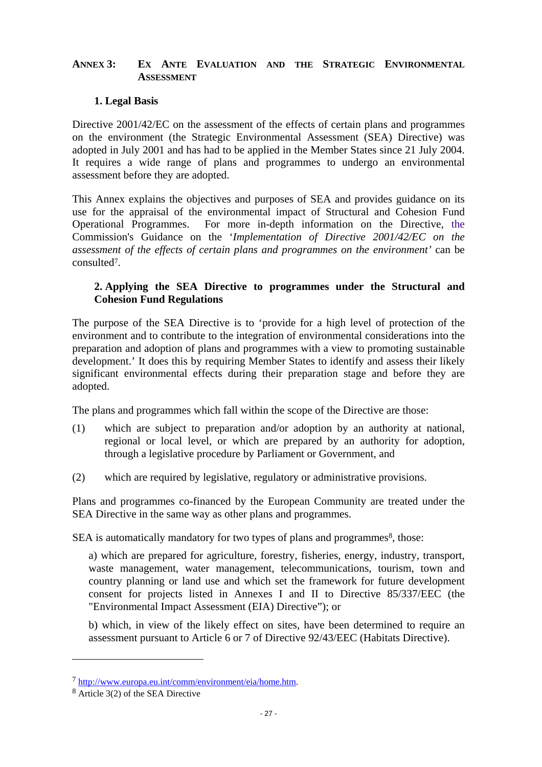### <span id="page-28-1"></span><span id="page-28-0"></span>**ANNEX 3: EX ANTE EVALUATION AND THE STRATEGIC ENVIRONMENTAL ASSESSMENT**

### **1. Legal Basis**

Directive 2001/42/EC on the assessment of the effects of certain plans and programmes on the environment (the Strategic Environmental Assessment (SEA) Directive) was adopted in July 2001 and has had to be applied in the Member States since 21 July 2004. It requires a wide range of plans and programmes to undergo an environmental assessment before they are adopted.

This Annex explains the objectives and purposes of SEA and provides guidance on its use for the appraisal of the environmental impact of Structural and Cohesion Fund Operational Programmes. For more in-depth information on the Directive, the Commission's Guidance on the '*Implementation of Directive 2001/42/EC on the assessment of the effects of certain plans and programmes on the environment'* can be consulted7.

### **2. Applying the SEA Directive to programmes under the Structural and Cohesion Fund Regulations**

<span id="page-28-2"></span>The purpose of the SEA Directive is to 'provide for a high level of protection of the environment and to contribute to the integration of environmental considerations into the preparation and adoption of plans and programmes with a view to promoting sustainable development.' It does this by requiring Member States to identify and assess their likely significant environmental effects during their preparation stage and before they are adopted.

The plans and programmes which fall within the scope of the Directive are those:

- (1) which are subject to preparation and/or adoption by an authority at national, regional or local level, or which are prepared by an authority for adoption, through a legislative procedure by Parliament or Government, and
- (2) which are required by legislative, regulatory or administrative provisions.

Plans and programmes co-financed by the European Community are treated under the SEA Directive in the same way as other plans and programmes.

SEA is automatically mandatory for two types of plans and programmes<sup>8</sup>, those:

a) which are prepared for agriculture, forestry, fisheries, energy, industry, transport, waste management, water management, telecommunications, tourism, town and country planning or land use and which set the framework for future development consent for projects listed in Annexes I and II to Directive 85/337/EEC (the "Environmental Impact Assessment (EIA) Directive"); or

b) which, in view of the likely effect on sites, have been determined to require an assessment pursuant to Article 6 or 7 of Directive 92/43/EEC (Habitats Directive).

 $\overline{a}$ 

<sup>7</sup> [http://www.europa.eu.int/comm/environment/eia/home.htm. 8](http://www.europa.eu.int/comm/environment/eia/home.htm) Article 3(2) of the SEA Directive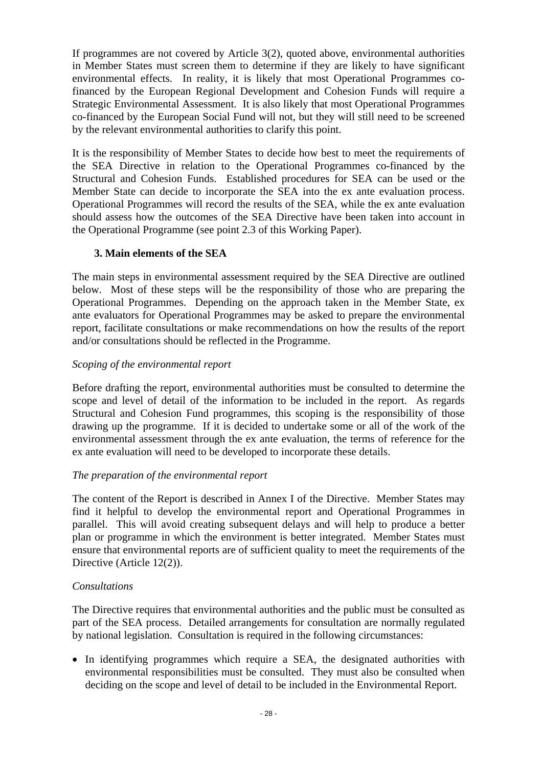If programmes are not covered by Article 3(2), quoted above, environmental authorities in Member States must screen them to determine if they are likely to have significant environmental effects. In reality, it is likely that most Operational Programmes cofinanced by the European Regional Development and Cohesion Funds will require a Strategic Environmental Assessment. It is also likely that most Operational Programmes co-financed by the European Social Fund will not, but they will still need to be screened by the relevant environmental authorities to clarify this point.

It is the responsibility of Member States to decide how best to meet the requirements of the SEA Directive in relation to the Operational Programmes co-financed by the Structural and Cohesion Funds. Established procedures for SEA can be used or the Member State can decide to incorporate the SEA into the ex ante evaluation process. Operational Programmes will record the results of the SEA, while the ex ante evaluation should assess how the outcomes of the SEA Directive have been taken into account in the Operational Programme (see point 2.3 of this Working Paper).

### **3. Main elements of the SEA**

<span id="page-29-0"></span>The main steps in environmental assessment required by the SEA Directive are outlined below. Most of these steps will be the responsibility of those who are preparing the Operational Programmes. Depending on the approach taken in the Member State, ex ante evaluators for Operational Programmes may be asked to prepare the environmental report, facilitate consultations or make recommendations on how the results of the report and/or consultations should be reflected in the Programme.

#### *Scoping of the environmental report*

Before drafting the report, environmental authorities must be consulted to determine the scope and level of detail of the information to be included in the report. As regards Structural and Cohesion Fund programmes, this scoping is the responsibility of those drawing up the programme. If it is decided to undertake some or all of the work of the environmental assessment through the ex ante evaluation, the terms of reference for the ex ante evaluation will need to be developed to incorporate these details.

#### *The preparation of the environmental report*

The content of the Report is described in Annex I of the Directive. Member States may find it helpful to develop the environmental report and Operational Programmes in parallel. This will avoid creating subsequent delays and will help to produce a better plan or programme in which the environment is better integrated. Member States must ensure that environmental reports are of sufficient quality to meet the requirements of the Directive (Article 12(2)).

#### *Consultations*

The Directive requires that environmental authorities and the public must be consulted as part of the SEA process. Detailed arrangements for consultation are normally regulated by national legislation. Consultation is required in the following circumstances:

• In identifying programmes which require a SEA, the designated authorities with environmental responsibilities must be consulted. They must also be consulted when deciding on the scope and level of detail to be included in the Environmental Report.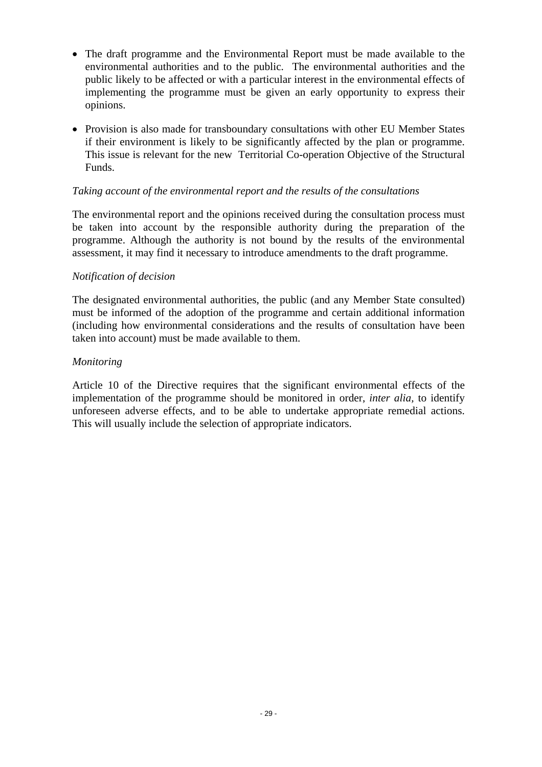- The draft programme and the Environmental Report must be made available to the environmental authorities and to the public. The environmental authorities and the public likely to be affected or with a particular interest in the environmental effects of implementing the programme must be given an early opportunity to express their opinions.
- Provision is also made for transboundary consultations with other EU Member States if their environment is likely to be significantly affected by the plan or programme. This issue is relevant for the new Territorial Co-operation Objective of the Structural Funds.

### *Taking account of the environmental report and the results of the consultations*

The environmental report and the opinions received during the consultation process must be taken into account by the responsible authority during the preparation of the programme. Although the authority is not bound by the results of the environmental assessment, it may find it necessary to introduce amendments to the draft programme.

### *Notification of decision*

The designated environmental authorities, the public (and any Member State consulted) must be informed of the adoption of the programme and certain additional information (including how environmental considerations and the results of consultation have been taken into account) must be made available to them.

#### *Monitoring*

Article 10 of the Directive requires that the significant environmental effects of the implementation of the programme should be monitored in order, *inter alia,* to identify unforeseen adverse effects, and to be able to undertake appropriate remedial actions. This will usually include the selection of appropriate indicators.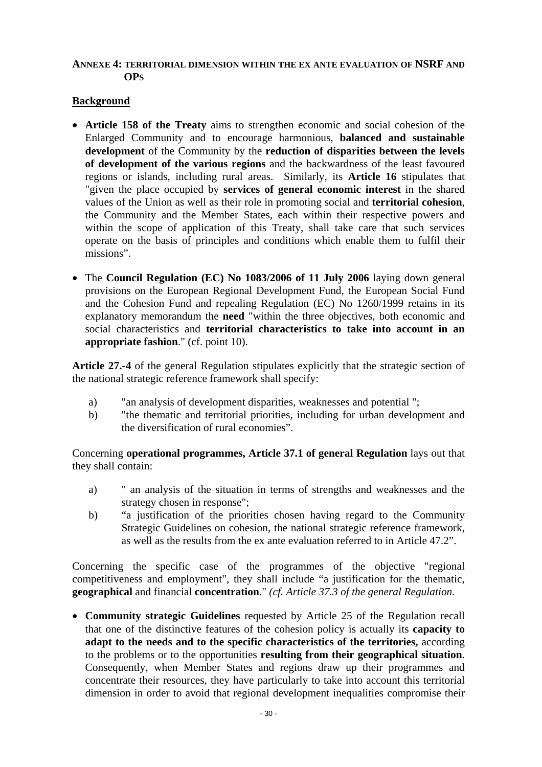### <span id="page-31-0"></span>**ANNEXE 4: TERRITORIAL DIMENSION WITHIN THE EX ANTE EVALUATION OF NSRF AND OPS**

### **Background**

- **Article 158 of the Treaty** aims to strengthen economic and social cohesion of the Enlarged Community and to encourage harmonious, **balanced and sustainable development** of the Community by the **reduction of disparities between the levels of development of the various regions** and the backwardness of the least favoured regions or islands, including rural areas. Similarly, its **Article 16** stipulates that "given the place occupied by **services of general economic interest** in the shared values of the Union as well as their role in promoting social and **territorial cohesion**, the Community and the Member States, each within their respective powers and within the scope of application of this Treaty, shall take care that such services operate on the basis of principles and conditions which enable them to fulfil their missions".
- The **Council Regulation (EC) No 1083/2006 of 11 July 2006** laying down general provisions on the European Regional Development Fund, the European Social Fund and the Cohesion Fund and repealing Regulation (EC) No 1260/1999 retains in its explanatory memorandum the **need** "within the three objectives, both economic and social characteristics and **territorial characteristics to take into account in an appropriate fashion**." (cf. point 10).

**Article 27.-4** of the general Regulation stipulates explicitly that the strategic section of the national strategic reference framework shall specify:

- a) "an analysis of development disparities, weaknesses and potential";
- b) "the thematic and territorial priorities, including for urban development and the diversification of rural economies".

Concerning **operational programmes, Article 37.1 of general Regulation** lays out that they shall contain:

- a) " an analysis of the situation in terms of strengths and weaknesses and the strategy chosen in response";
- b) "a justification of the priorities chosen having regard to the Community Strategic Guidelines on cohesion, the national strategic reference framework, as well as the results from the ex ante evaluation referred to in Article 47.2".

Concerning the specific case of the programmes of the objective "regional competitiveness and employment", they shall include "a justification for the thematic, **geographical** and financial **concentration**." *(cf. Article 37.3 of the general Regulation.*

• **Community strategic Guidelines** requested by Article 25 of the Regulation recall that one of the distinctive features of the cohesion policy is actually its **capacity to adapt to the needs and to the specific characteristics of the territories,** according to the problems or to the opportunities **resulting from their geographical situation**. Consequently, when Member States and regions draw up their programmes and concentrate their resources, they have particularly to take into account this territorial dimension in order to avoid that regional development inequalities compromise their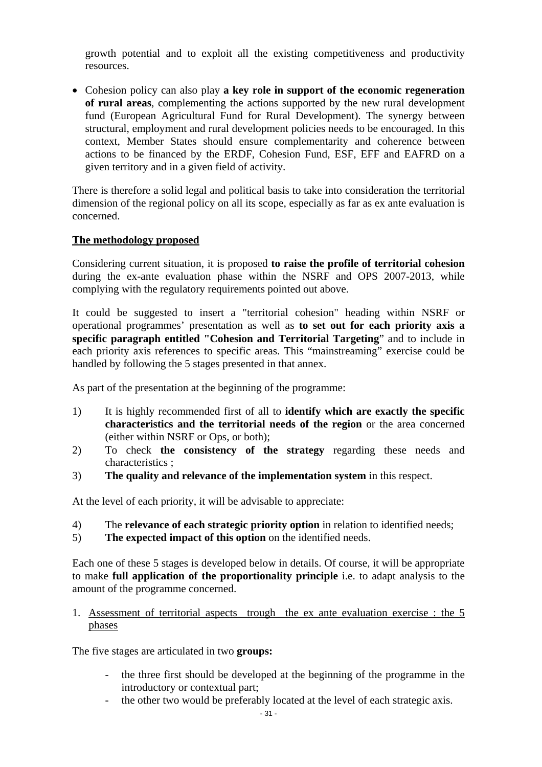growth potential and to exploit all the existing competitiveness and productivity resources.

• Cohesion policy can also play **a key role in support of the economic regeneration of rural areas**, complementing the actions supported by the new rural development fund (European Agricultural Fund for Rural Development). The synergy between structural, employment and rural development policies needs to be encouraged. In this context, Member States should ensure complementarity and coherence between actions to be financed by the ERDF, Cohesion Fund, ESF, EFF and EAFRD on a given territory and in a given field of activity.

There is therefore a solid legal and political basis to take into consideration the territorial dimension of the regional policy on all its scope, especially as far as ex ante evaluation is concerned.

### **The methodology proposed**

Considering current situation, it is proposed **to raise the profile of territorial cohesion** during the ex-ante evaluation phase within the NSRF and OPS 2007-2013, while complying with the regulatory requirements pointed out above.

It could be suggested to insert a "territorial cohesion" heading within NSRF or operational programmes' presentation as well as **to set out for each priority axis a specific paragraph entitled "Cohesion and Territorial Targeting**" and to include in each priority axis references to specific areas. This "mainstreaming" exercise could be handled by following the 5 stages presented in that annex.

As part of the presentation at the beginning of the programme:

- 1) It is highly recommended first of all to **identify which are exactly the specific characteristics and the territorial needs of the region** or the area concerned (either within NSRF or Ops, or both);
- 2) To check **the consistency of the strategy** regarding these needs and characteristics ;
- 3) **The quality and relevance of the implementation system** in this respect.

At the level of each priority, it will be advisable to appreciate:

- 4) The **relevance of each strategic priority option** in relation to identified needs;
- 5) **The expected impact of this option** on the identified needs.

Each one of these 5 stages is developed below in details. Of course, it will be appropriate to make **full application of the proportionality principle** i.e. to adapt analysis to the amount of the programme concerned.

### 1. Assessment of territorial aspects trough the ex ante evaluation exercise : the 5 phases

The five stages are articulated in two **groups:** 

- the three first should be developed at the beginning of the programme in the introductory or contextual part;
- the other two would be preferably located at the level of each strategic axis.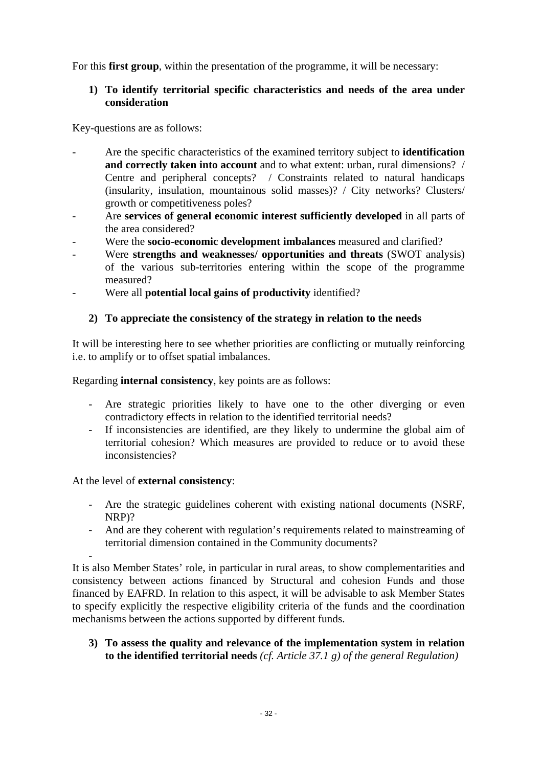For this **first group**, within the presentation of the programme, it will be necessary:

# **1) To identify territorial specific characteristics and needs of the area under consideration**

Key-questions are as follows:

- Are the specific characteristics of the examined territory subject to **identification and correctly taken into account** and to what extent: urban, rural dimensions? / Centre and peripheral concepts? / Constraints related to natural handicaps (insularity, insulation, mountainous solid masses)? / City networks? Clusters/ growth or competitiveness poles?
- Are **services of general economic interest sufficiently developed** in all parts of the area considered?
- Were the **socio-economic development imbalances** measured and clarified?
- Were **strengths and weaknesses/ opportunities and threats** (SWOT analysis) of the various sub-territories entering within the scope of the programme measured?
- Were all **potential local gains of productivity** identified?

### **2) To appreciate the consistency of the strategy in relation to the needs**

It will be interesting here to see whether priorities are conflicting or mutually reinforcing i.e. to amplify or to offset spatial imbalances.

Regarding **internal consistency**, key points are as follows:

- Are strategic priorities likely to have one to the other diverging or even contradictory effects in relation to the identified territorial needs?
- If inconsistencies are identified, are they likely to undermine the global aim of territorial cohesion? Which measures are provided to reduce or to avoid these inconsistencies?

At the level of **external consistency**:

- Are the strategic guidelines coherent with existing national documents (NSRF, NRP)?
- And are they coherent with regulation's requirements related to mainstreaming of territorial dimension contained in the Community documents?

- It is also Member States' role, in particular in rural areas, to show complementarities and consistency between actions financed by Structural and cohesion Funds and those financed by EAFRD. In relation to this aspect, it will be advisable to ask Member States to specify explicitly the respective eligibility criteria of the funds and the coordination mechanisms between the actions supported by different funds.

**3) To assess the quality and relevance of the implementation system in relation to the identified territorial needs** *(cf. Article 37.1 g) of the general Regulation)*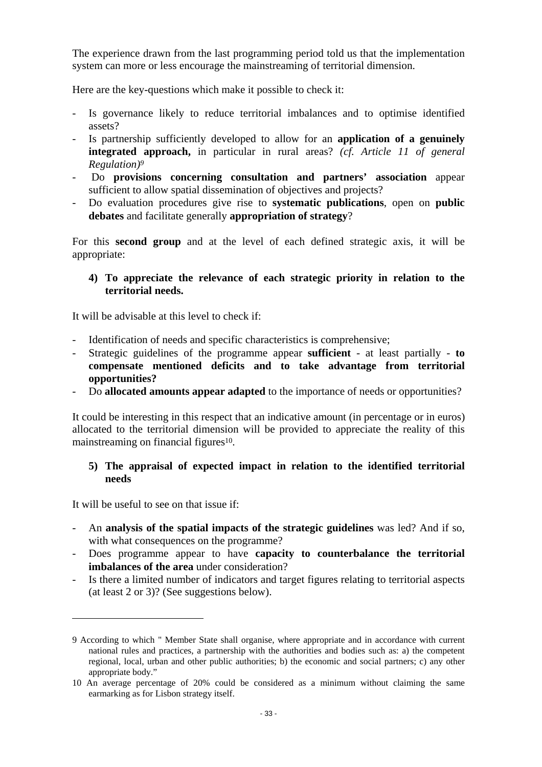The experience drawn from the last programming period told us that the implementation system can more or less encourage the mainstreaming of territorial dimension.

Here are the key-questions which make it possible to check it:

- Is governance likely to reduce territorial imbalances and to optimise identified assets?
- Is partnership sufficiently developed to allow for an **application of a genuinely integrated approach,** in particular in rural areas? *(cf. Article 11 of general Regulation)9*
- Do **provisions concerning consultation and partners' association** appear sufficient to allow spatial dissemination of objectives and projects?
- Do evaluation procedures give rise to **systematic publications**, open on **public debates** and facilitate generally **appropriation of strategy**?

For this **second group** and at the level of each defined strategic axis, it will be appropriate:

### **4) To appreciate the relevance of each strategic priority in relation to the territorial needs.**

It will be advisable at this level to check if:

- Identification of needs and specific characteristics is comprehensive;
- Strategic guidelines of the programme appear **sufficient**  at least partially **to compensate mentioned deficits and to take advantage from territorial opportunities?**
- Do **allocated amounts appear adapted** to the importance of needs or opportunities?

It could be interesting in this respect that an indicative amount (in percentage or in euros) allocated to the territorial dimension will be provided to appreciate the reality of this mainstreaming on financial figures<sup>10</sup>.

### **5) The appraisal of expected impact in relation to the identified territorial needs**

It will be useful to see on that issue if:

 $\overline{a}$ 

- An **analysis of the spatial impacts of the strategic guidelines** was led? And if so, with what consequences on the programme?
- Does programme appear to have **capacity to counterbalance the territorial imbalances of the area** under consideration?
- Is there a limited number of indicators and target figures relating to territorial aspects (at least 2 or 3)? (See suggestions below).

<sup>9</sup> According to which " Member State shall organise, where appropriate and in accordance with current national rules and practices, a partnership with the authorities and bodies such as: a) the competent regional, local, urban and other public authorities; b) the economic and social partners; c) any other appropriate body."

<sup>10</sup> An average percentage of 20% could be considered as a minimum without claiming the same earmarking as for Lisbon strategy itself.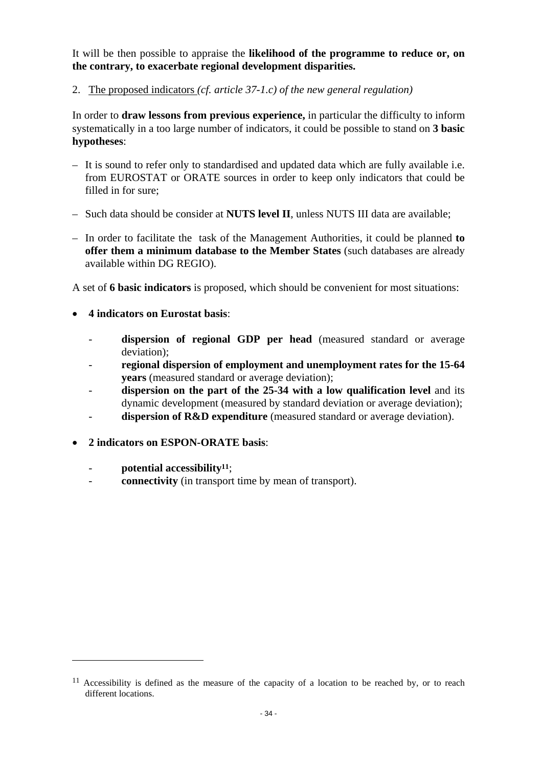It will be then possible to appraise the **likelihood of the programme to reduce or, on the contrary, to exacerbate regional development disparities.** 

2. The proposed indicators *(cf. article 37-1.c) of the new general regulation)* 

In order to **draw lessons from previous experience,** in particular the difficulty to inform systematically in a too large number of indicators, it could be possible to stand on **3 basic hypotheses**:

- It is sound to refer only to standardised and updated data which are fully available i.e. from EUROSTAT or ORATE sources in order to keep only indicators that could be filled in for sure;
- Such data should be consider at **NUTS level II**, unless NUTS III data are available;
- In order to facilitate the task of the Management Authorities, it could be planned **to offer them a minimum database to the Member States** (such databases are already available within DG REGIO).

A set of **6 basic indicators** is proposed, which should be convenient for most situations:

- **4 indicators on Eurostat basis**:
	- **dispersion of regional GDP per head** (measured standard or average deviation);
	- regional dispersion of employment and unemployment rates for the 15-64 **years** (measured standard or average deviation);
	- dispersion on the part of the 25-34 with a low qualification level and its dynamic development (measured by standard deviation or average deviation);
	- dispersion of R&D expenditure (measured standard or average deviation).
- **2 indicators on ESPON-ORATE basis**:
	- potential accessibility<sup>11</sup>;

 $\overline{a}$ 

**connectivity** (in transport time by mean of transport).

 $11$  Accessibility is defined as the measure of the capacity of a location to be reached by, or to reach different locations.